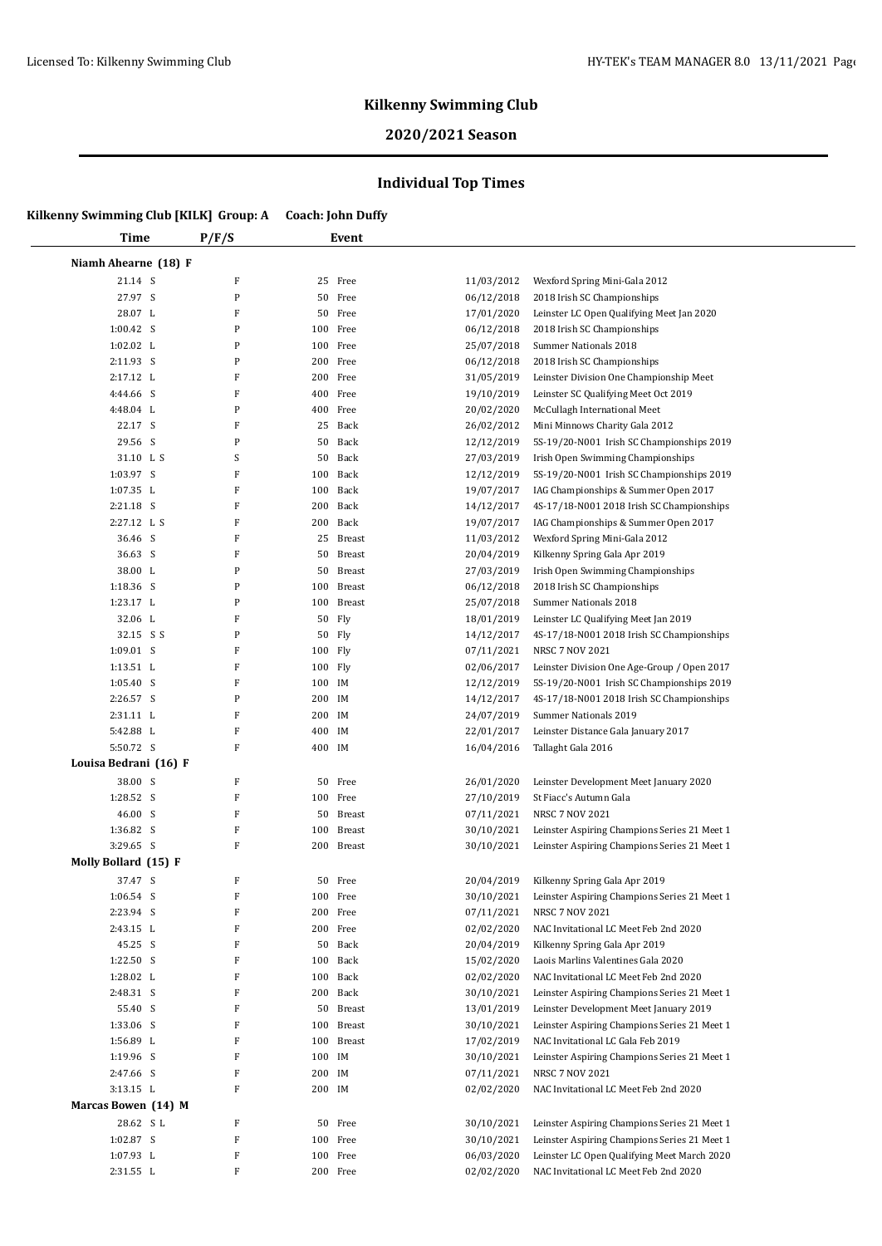# **2020/2021 Season**

| Kilkenny Swimming Club [KILK] Group: A |             | <b>Coach: John Duffy</b> |                                                            |
|----------------------------------------|-------------|--------------------------|------------------------------------------------------------|
| <b>Time</b>                            | P/F/S       | Event                    |                                                            |
| Niamh Ahearne (18) F                   |             |                          |                                                            |
| 21.14 S                                | F           | 25 Free                  | 11/03/2012<br>Wexford Spring Mini-Gala 2012                |
| 27.97 S                                | P           | Free<br>50               | 06/12/2018<br>2018 Irish SC Championships                  |
| 28.07 L                                | $\mathbf F$ | 50<br>Free               | 17/01/2020<br>Leinster LC Open Qualifying Meet Jan 2020    |
| 1:00.42 S                              | P           | 100<br>Free              | 06/12/2018<br>2018 Irish SC Championships                  |
| $1:02.02$ L                            | P           | 100<br>Free              | 25/07/2018<br>Summer Nationals 2018                        |
| 2:11.93 S                              | ${\bf P}$   | 200<br>Free              | 06/12/2018<br>2018 Irish SC Championships                  |
| 2:17.12 L                              | $\mathbf F$ | 200<br>Free              | 31/05/2019<br>Leinster Division One Championship Meet      |
| 4:44.66 S                              | ${\bf F}$   | 400<br>Free              | 19/10/2019<br>Leinster SC Qualifying Meet Oct 2019         |
| 4:48.04 L                              | ${\bf P}$   | 400<br>Free              | 20/02/2020<br>McCullagh International Meet                 |
| 22.17 S                                | $\mathbf F$ | 25<br>Back               | 26/02/2012<br>Mini Minnows Charity Gala 2012               |
| 29.56 S                                | P           | 50<br>Back               | 5S-19/20-N001 Irish SC Championships 2019<br>12/12/2019    |
| 31.10 LS                               | S           | Back<br>50               | 27/03/2019<br>Irish Open Swimming Championships            |
| 1:03.97 S                              | F           | Back<br>100              | 12/12/2019<br>5S-19/20-N001 Irish SC Championships 2019    |
| 1:07.35 L                              | ${\bf F}$   | 100<br>Back              | 19/07/2017<br>IAG Championships & Summer Open 2017         |
| 2:21.18 S                              | ${\bf F}$   | 200<br>Back              | 14/12/2017<br>4S-17/18-N001 2018 Irish SC Championships    |
| 2:27.12 L S                            | F           | Back<br>200              | 19/07/2017<br>IAG Championships & Summer Open 2017         |
| 36.46 S                                | F           | 25<br><b>Breast</b>      | Wexford Spring Mini-Gala 2012<br>11/03/2012                |
| 36.63 S                                | ${\bf F}$   | 50<br><b>Breast</b>      | 20/04/2019<br>Kilkenny Spring Gala Apr 2019                |
| 38.00 L                                | ${\bf P}$   | 50<br><b>Breast</b>      | 27/03/2019<br>Irish Open Swimming Championships            |
| 1:18.36 S                              | P           | 100<br><b>Breast</b>     | 06/12/2018<br>2018 Irish SC Championships                  |
| 1:23.17 L                              | P           | 100<br><b>Breast</b>     | Summer Nationals 2018<br>25/07/2018                        |
| 32.06 L                                | F           | 50<br>Fly                | 18/01/2019<br>Leinster LC Qualifying Meet Jan 2019         |
| 32.15 S S                              | P           | 50<br>Fly                | 4S-17/18-N001 2018 Irish SC Championships<br>14/12/2017    |
| $1:09.01$ S                            | ${\bf F}$   | 100<br>Fly               | 07/11/2021<br><b>NRSC 7 NOV 2021</b>                       |
| 1:13.51 L                              | F           | 100<br>Fly               | 02/06/2017<br>Leinster Division One Age-Group / Open 2017  |
| 1:05.40 S                              | F           | 100<br>IM                | 12/12/2019<br>5S-19/20-N001 Irish SC Championships 2019    |
| 2:26.57 S                              | ${\bf P}$   | 200 IM                   | 14/12/2017<br>4S-17/18-N001 2018 Irish SC Championships    |
| 2:31.11 L                              | $\mathbf F$ | 200<br>IM                | 24/07/2019<br>Summer Nationals 2019                        |
| 5:42.88 L                              | $\mathbf F$ | IM<br>400                | 22/01/2017<br>Leinster Distance Gala January 2017          |
| 5:50.72 S                              | ${\bf F}$   | 400 IM                   | 16/04/2016<br>Tallaght Gala 2016                           |
| Louisa Bedrani (16) F                  |             |                          |                                                            |
| 38.00 S                                | F           | Free<br>50               | Leinster Development Meet January 2020<br>26/01/2020       |
| 1:28.52 S                              | $\mathbf F$ | 100 Free                 | St Fiacc's Autumn Gala<br>27/10/2019                       |
| 46.00 S                                | F           | 50<br><b>Breast</b>      | 07/11/2021<br><b>NRSC 7 NOV 2021</b>                       |
| 1:36.82 S                              | F           | 100<br><b>Breast</b>     | 30/10/2021<br>Leinster Aspiring Champions Series 21 Meet 1 |
| 3:29.65 S                              | $\mathbf F$ | 200<br><b>Breast</b>     | 30/10/2021<br>Leinster Aspiring Champions Series 21 Meet 1 |
| Molly Bollard (15) F                   |             |                          |                                                            |
| 37.47 S                                | F           | 50<br>Free               | 20/04/2019<br>Kilkenny Spring Gala Apr 2019                |
| 1:06.54 S                              | F           | Free<br>100              | 30/10/2021<br>Leinster Aspiring Champions Series 21 Meet 1 |
| 2:23.94 S                              | F           | 200 Free                 | 07/11/2021<br>NRSC 7 NOV 2021                              |
| 2:43.15 L                              | F           | 200<br>Free              | 02/02/2020<br>NAC Invitational LC Meet Feb 2nd 2020        |
| 45.25 S                                | F           | 50<br>Back               | 20/04/2019<br>Kilkenny Spring Gala Apr 2019                |
| 1:22.50 S                              | ${\bf F}$   | 100<br>Back              | 15/02/2020<br>Laois Marlins Valentines Gala 2020           |
| 1:28.02 L                              | ${\bf F}$   | 100<br>Back              | 02/02/2020<br>NAC Invitational LC Meet Feb 2nd 2020        |
| 2:48.31 S                              | F           | 200 Back                 | 30/10/2021<br>Leinster Aspiring Champions Series 21 Meet 1 |
| 55.40 S                                | F           | 50<br><b>Breast</b>      | 13/01/2019<br>Leinster Development Meet January 2019       |
| 1:33.06 S                              | ${\bf F}$   | 100<br><b>Breast</b>     | 30/10/2021<br>Leinster Aspiring Champions Series 21 Meet 1 |
| 1:56.89 L                              | ${\bf F}$   | 100<br><b>Breast</b>     | 17/02/2019<br>NAC Invitational LC Gala Feb 2019            |
| 1:19.96 S                              | ${\bf F}$   | 100 IM                   | 30/10/2021<br>Leinster Aspiring Champions Series 21 Meet 1 |
| 2:47.66 S                              | F           | 200 IM                   | 07/11/2021<br><b>NRSC 7 NOV 2021</b>                       |
| 3:13.15 L                              | F           | 200 IM                   | 02/02/2020<br>NAC Invitational LC Meet Feb 2nd 2020        |
| Marcas Bowen (14) M                    |             |                          |                                                            |
| 28.62 SL                               | F           | 50<br>Free               | 30/10/2021<br>Leinster Aspiring Champions Series 21 Meet 1 |
| 1:02.87 S                              | ${\bf F}$   | 100<br>Free              | 30/10/2021<br>Leinster Aspiring Champions Series 21 Meet 1 |
| 1:07.93 L                              | F           | 100<br>Free              | 06/03/2020<br>Leinster LC Open Qualifying Meet March 2020  |
| 2:31.55 L                              | ${\bf F}$   |                          | NAC Invitational LC Meet Feb 2nd 2020                      |
|                                        |             | 200 Free                 | 02/02/2020                                                 |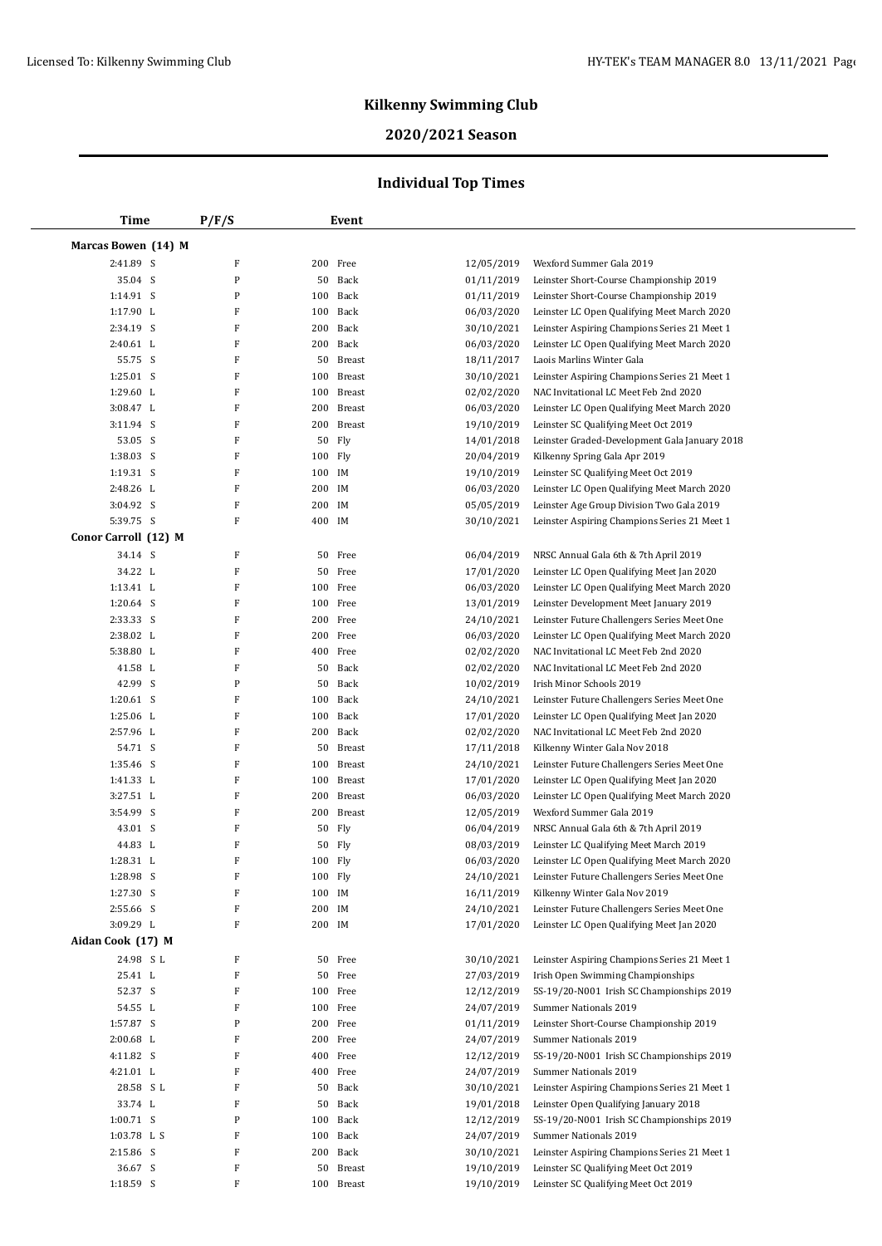## **Kilkenny Swimming Club**

# **2020/2021 Season**

|                      | Time                 | P/F/S                    |                   | Event         |                          |                                                                                            |
|----------------------|----------------------|--------------------------|-------------------|---------------|--------------------------|--------------------------------------------------------------------------------------------|
| Marcas Bowen (14) M  |                      |                          |                   |               |                          |                                                                                            |
|                      | 2:41.89 S            | F                        |                   | 200 Free      | 12/05/2019               | Wexford Summer Gala 2019                                                                   |
|                      | 35.04 S              | ${\bf P}$                | 50                | Back          | 01/11/2019               | Leinster Short-Course Championship 2019                                                    |
|                      | 1:14.91 S            | P                        | 100               | Back          | 01/11/2019               | Leinster Short-Course Championship 2019                                                    |
|                      | 1:17.90 L            | $\mathbf F$              | 100               | Back          | 06/03/2020               | Leinster LC Open Qualifying Meet March 2020                                                |
|                      | 2:34.19 S            | ${\bf F}$                | 200               | Back          | 30/10/2021               | Leinster Aspiring Champions Series 21 Meet 1                                               |
|                      | 2:40.61 L            | $\mathbf F$              | 200               | Back          | 06/03/2020               | Leinster LC Open Qualifying Meet March 2020                                                |
|                      | 55.75 S              | $\mathbf F$              | 50                | <b>Breast</b> | 18/11/2017               | Laois Marlins Winter Gala                                                                  |
|                      | 1:25.01 S            | F                        | 100               | <b>Breast</b> | 30/10/2021               | Leinster Aspiring Champions Series 21 Meet 1                                               |
|                      | 1:29.60 L            | $\mathbf F$              | 100               | <b>Breast</b> | 02/02/2020               | NAC Invitational LC Meet Feb 2nd 2020                                                      |
|                      | 3:08.47 L            | ${\bf F}$                | 200               | <b>Breast</b> | 06/03/2020               | Leinster LC Open Qualifying Meet March 2020                                                |
|                      | $3:11.94$ S          | ${\bf F}$                | 200               | <b>Breast</b> | 19/10/2019               | Leinster SC Qualifying Meet Oct 2019                                                       |
|                      | 53.05 S              | $\mathbf F$              | 50                | Fly           | 14/01/2018               | Leinster Graded-Development Gala January 2018                                              |
|                      | 1:38.03 S            | F                        | 100               | Fly           | 20/04/2019               | Kilkenny Spring Gala Apr 2019                                                              |
|                      | 1:19.31 S            | $\mathbf F$              | 100               | IM            | 19/10/2019               | Leinster SC Qualifying Meet Oct 2019                                                       |
|                      | 2:48.26 L            | $\mathbf F$              | 200 IM            |               | 06/03/2020               | Leinster LC Open Qualifying Meet March 2020                                                |
|                      | 3:04.92 S            | $\mathbf F$              | 200               | IM            | 05/05/2019               | Leinster Age Group Division Two Gala 2019                                                  |
|                      | 5:39.75 S            | F                        | 400 IM            |               | 30/10/2021               | Leinster Aspiring Champions Series 21 Meet 1                                               |
| Conor Carroll (12) M |                      |                          |                   |               |                          |                                                                                            |
|                      | 34.14 S              | $\mathbf F$              |                   | 50 Free       | 06/04/2019               | NRSC Annual Gala 6th & 7th April 2019                                                      |
|                      | 34.22 L              | $\mathbf F$              | 50                | Free          | 17/01/2020               | Leinster LC Open Qualifying Meet Jan 2020                                                  |
|                      | 1:13.41 L            | $\mathbf F$              | 100               | Free          | 06/03/2020               | Leinster LC Open Qualifying Meet March 2020                                                |
|                      | 1:20.64 S            | $\mathbf F$              | 100               | Free          | 13/01/2019               | Leinster Development Meet January 2019                                                     |
|                      | 2:33.33 S            | $\mathbf F$              | 200               | Free          | 24/10/2021               | Leinster Future Challengers Series Meet One                                                |
|                      | 2:38.02 L            | $\mathbf F$              | 200               | Free          | 06/03/2020               | Leinster LC Open Qualifying Meet March 2020                                                |
|                      | 5:38.80 L            | $\mathbf F$              | 400               | Free          | 02/02/2020               | NAC Invitational LC Meet Feb 2nd 2020                                                      |
|                      | 41.58 L              | $\mathbf F$              | 50                | Back          | 02/02/2020               | NAC Invitational LC Meet Feb 2nd 2020                                                      |
|                      | 42.99 S              | ${\bf P}$                | 50                | Back          | 10/02/2019               | Irish Minor Schools 2019                                                                   |
|                      | 1:20.61 S            | $\mathbf F$              | 100               | Back          | 24/10/2021               | Leinster Future Challengers Series Meet One                                                |
|                      | 1:25.06 L            | $\mathbf F$              | 100               | Back          | 17/01/2020               | Leinster LC Open Qualifying Meet Jan 2020                                                  |
|                      | 2:57.96 L            | F                        | 200               | Back          | 02/02/2020               | NAC Invitational LC Meet Feb 2nd 2020                                                      |
|                      | 54.71 S              | F                        | 50                | <b>Breast</b> | 17/11/2018               | Kilkenny Winter Gala Nov 2018                                                              |
|                      | 1:35.46 S            | $\mathbf F$              | 100               | <b>Breast</b> | 24/10/2021               | Leinster Future Challengers Series Meet One                                                |
|                      | 1:41.33 L            | $\mathbf F$              | 100               | <b>Breast</b> | 17/01/2020               | Leinster LC Open Qualifying Meet Jan 2020                                                  |
|                      | 3:27.51 L            | F                        | 200               | <b>Breast</b> | 06/03/2020               | Leinster LC Open Qualifying Meet March 2020                                                |
|                      | 3:54.99 S            | $\mathbf F$              | 200               | <b>Breast</b> | 12/05/2019               | Wexford Summer Gala 2019                                                                   |
|                      | 43.01 S              | $\mathbf F$<br>${\bf F}$ | 50                | Fly           | 06/04/2019               | NRSC Annual Gala 6th & 7th April 2019                                                      |
|                      | 44.83 L<br>1:28.31 L | $\mathbf F$              | 50<br>100 Fly     | Fly           | 08/03/2019               | Leinster LC Qualifying Meet March 2019                                                     |
|                      | 1:28.98 S            | F                        |                   |               | 06/03/2020<br>24/10/2021 | Leinster LC Open Qualifying Meet March 2020<br>Leinster Future Challengers Series Meet One |
|                      | 1:27.30 S            | F                        | 100 Fly<br>100 IM |               | 16/11/2019               | Kilkenny Winter Gala Nov 2019                                                              |
|                      | 2:55.66 S            | $\mathbf F$              | 200 IM            |               | 24/10/2021               | Leinster Future Challengers Series Meet One                                                |
|                      | 3:09.29 L            | $\mathbf F$              | 200 IM            |               | 17/01/2020               | Leinster LC Open Qualifying Meet Jan 2020                                                  |
| Aidan Cook (17) M    |                      |                          |                   |               |                          |                                                                                            |
|                      | 24.98 SL             | F                        | 50                | Free          | 30/10/2021               | Leinster Aspiring Champions Series 21 Meet 1                                               |
|                      | 25.41 L              | F                        |                   | 50 Free       | 27/03/2019               | Irish Open Swimming Championships                                                          |
|                      | 52.37 S              | $\mathbf F$              |                   | 100 Free      | 12/12/2019               | 5S-19/20-N001 Irish SC Championships 2019                                                  |
|                      | 54.55 L              | F                        |                   | 100 Free      | 24/07/2019               | Summer Nationals 2019                                                                      |
|                      | 1:57.87 S            | P                        | 200               | Free          | 01/11/2019               | Leinster Short-Course Championship 2019                                                    |
|                      | $2:00.68$ L          | $\mathbf F$              |                   | 200 Free      | 24/07/2019               | Summer Nationals 2019                                                                      |
|                      | 4:11.82 S            | F                        | 400               | Free          | 12/12/2019               | 5S-19/20-N001 Irish SC Championships 2019                                                  |
|                      | 4:21.01 L            | F                        | 400               | Free          | 24/07/2019               | Summer Nationals 2019                                                                      |
|                      | 28.58 SL             | F                        | 50                | Back          | 30/10/2021               | Leinster Aspiring Champions Series 21 Meet 1                                               |
|                      | 33.74 L              | $\mathbf F$              | 50                | Back          | 19/01/2018               | Leinster Open Qualifying January 2018                                                      |
|                      | 1:00.71 S            | ${\bf P}$                | 100               | Back          | 12/12/2019               | 5S-19/20-N001 Irish SC Championships 2019                                                  |
|                      | 1:03.78 L S          | F                        | 100               | Back          | 24/07/2019               | Summer Nationals 2019                                                                      |
|                      | 2:15.86 S            | F                        | 200               | Back          | 30/10/2021               | Leinster Aspiring Champions Series 21 Meet 1                                               |
|                      | 36.67 S              | F                        | 50                | Breast        | 19/10/2019               | Leinster SC Qualifying Meet Oct 2019                                                       |
|                      | 1:18.59 S            | F                        |                   | 100 Breast    | 19/10/2019               | Leinster SC Qualifying Meet Oct 2019                                                       |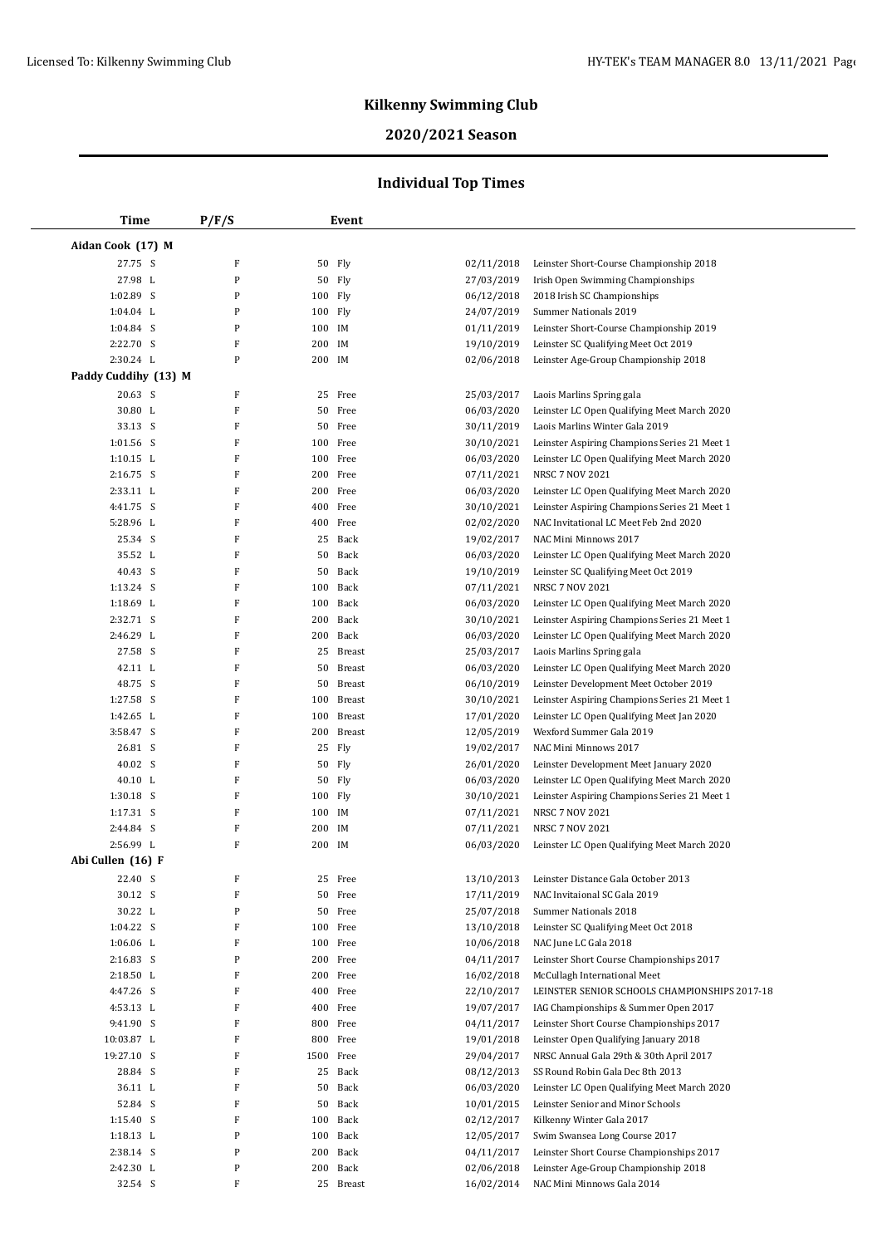# **2020/2021 Season**

| Time                 | P/F/S       |          | Event         |            |                                                |
|----------------------|-------------|----------|---------------|------------|------------------------------------------------|
| Aidan Cook (17) M    |             |          |               |            |                                                |
| 27.75 S              | F           | 50 Fly   |               | 02/11/2018 | Leinster Short-Course Championship 2018        |
| 27.98 L              | ${\bf P}$   | 50 Fly   |               | 27/03/2019 | Irish Open Swimming Championships              |
| 1:02.89 S            | ${\bf P}$   | 100 Fly  |               | 06/12/2018 | 2018 Irish SC Championships                    |
| 1:04.04 L            | ${\bf P}$   | 100 Fly  |               | 24/07/2019 | Summer Nationals 2019                          |
| 1:04.84 S            | ${\bf P}$   | 100 IM   |               | 01/11/2019 | Leinster Short-Course Championship 2019        |
| 2:22.70 S            | F           | 200 IM   |               | 19/10/2019 | Leinster SC Qualifying Meet Oct 2019           |
| 2:30.24 L            | ${\bf P}$   | 200 IM   |               | 02/06/2018 | Leinster Age-Group Championship 2018           |
| Paddy Cuddihy (13) M |             |          |               |            |                                                |
| 20.63 S              | F           |          | 25 Free       | 25/03/2017 | Laois Marlins Spring gala                      |
| 30.80 L              | $\mathbf F$ |          | 50 Free       | 06/03/2020 | Leinster LC Open Qualifying Meet March 2020    |
| 33.13 S              | F           | 50       | Free          | 30/11/2019 | Laois Marlins Winter Gala 2019                 |
| $1:01.56$ S          | F           | 100      | Free          | 30/10/2021 | Leinster Aspiring Champions Series 21 Meet 1   |
| $1:10.15$ L          | F           | 100 Free |               | 06/03/2020 | Leinster LC Open Qualifying Meet March 2020    |
| $2:16.75$ S          | F           | 200 Free |               | 07/11/2021 | <b>NRSC 7 NOV 2021</b>                         |
| 2:33.11 L            | F           | 200      | Free          | 06/03/2020 | Leinster LC Open Qualifying Meet March 2020    |
| 4:41.75 S            | $\mathbf F$ | 400      | Free          | 30/10/2021 | Leinster Aspiring Champions Series 21 Meet 1   |
| 5:28.96 L            | $\mathbf F$ | 400      | Free          | 02/02/2020 | NAC Invitational LC Meet Feb 2nd 2020          |
| 25.34 S              | $\mathbf F$ | 25       | Back          | 19/02/2017 | NAC Mini Minnows 2017                          |
| 35.52 L              | F           | 50       | Back          | 06/03/2020 | Leinster LC Open Qualifying Meet March 2020    |
| 40.43 S              | $\mathbf F$ | 50       | Back          | 19/10/2019 | Leinster SC Qualifying Meet Oct 2019           |
| 1:13.24 S            | $\mathbf F$ | 100      | Back          | 07/11/2021 | <b>NRSC 7 NOV 2021</b>                         |
| 1:18.69 L            | F           | 100      | Back          | 06/03/2020 | Leinster LC Open Qualifying Meet March 2020    |
| 2:32.71 S            | F           | 200      | Back          | 30/10/2021 | Leinster Aspiring Champions Series 21 Meet 1   |
| 2:46.29 L            | F           |          | 200 Back      | 06/03/2020 | Leinster LC Open Qualifying Meet March 2020    |
| 27.58 S              | $\mathbf F$ | 25       | <b>Breast</b> | 25/03/2017 | Laois Marlins Spring gala                      |
| 42.11 L              | $\mathbf F$ | 50       | <b>Breast</b> | 06/03/2020 | Leinster LC Open Qualifying Meet March 2020    |
| 48.75 S              | $\mathbf F$ | 50       | <b>Breast</b> | 06/10/2019 | Leinster Development Meet October 2019         |
| 1:27.58 S            | F           | 100      | Breast        | 30/10/2021 | Leinster Aspiring Champions Series 21 Meet 1   |
| 1:42.65 L            | F           | 100      | <b>Breast</b> | 17/01/2020 | Leinster LC Open Qualifying Meet Jan 2020      |
| 3:58.47 S            | $\mathbf F$ | 200      | <b>Breast</b> | 12/05/2019 | Wexford Summer Gala 2019                       |
| 26.81 S              | $\mathbf F$ | 25       | Fly           | 19/02/2017 | NAC Mini Minnows 2017                          |
| 40.02 S              | F           | 50 Fly   |               | 26/01/2020 | Leinster Development Meet January 2020         |
| 40.10 L              | F           | 50       | Fly           | 06/03/2020 | Leinster LC Open Qualifying Meet March 2020    |
| 1:30.18 S            | $\mathbf F$ | 100 Fly  |               | 30/10/2021 | Leinster Aspiring Champions Series 21 Meet 1   |
| 1:17.31 S            | F           | 100 IM   |               | 07/11/2021 | NRSC 7 NOV 2021                                |
| 2:44.84 S            | $\mathbf F$ | 200 IM   |               | 07/11/2021 | <b>NRSC 7 NOV 2021</b>                         |
| 2:56.99 L            | $\mathbf F$ | 200 IM   |               | 06/03/2020 | Leinster LC Open Qualifying Meet March 2020    |
| Abi Cullen (16) F    |             |          |               |            |                                                |
| 22.40 S              | F           |          | 25 Free       |            | 13/10/2013 Leinster Distance Gala October 2013 |
| 30.12 S              | F           |          | 50 Free       | 17/11/2019 | NAC Invitaional SC Gala 2019                   |
| 30.22 L              | $\mathbf P$ |          | 50 Free       | 25/07/2018 | Summer Nationals 2018                          |
| 1:04.22 S            | $\mathbf F$ | 100      | Free          | 13/10/2018 | Leinster SC Qualifying Meet Oct 2018           |
| 1:06.06 L            | $\mathbf F$ | 100      | Free          | 10/06/2018 | NAC June LC Gala 2018                          |
| 2:16.83 S            | ${\bf P}$   | 200      | Free          | 04/11/2017 | Leinster Short Course Championships 2017       |
| 2:18.50 L            | F           |          | 200 Free      | 16/02/2018 | McCullagh International Meet                   |
| 4:47.26 S            | F           | 400      | Free          | 22/10/2017 | LEINSTER SENIOR SCHOOLS CHAMPIONSHIPS 2017-18  |
| 4:53.13 L            | $\mathbf F$ | 400 Free |               | 19/07/2017 | IAG Championships & Summer Open 2017           |
| 9:41.90 S            | $\mathbf F$ | 800      | Free          | 04/11/2017 | Leinster Short Course Championships 2017       |
| 10:03.87 L           | F           | 800      | Free          | 19/01/2018 | Leinster Open Qualifying January 2018          |
| 19:27.10 S           | F           | 1500     | Free          | 29/04/2017 | NRSC Annual Gala 29th & 30th April 2017        |
| 28.84 S              | F           |          | 25 Back       | 08/12/2013 | SS Round Robin Gala Dec 8th 2013               |
| 36.11 L              | F           | 50       | Back          | 06/03/2020 | Leinster LC Open Qualifying Meet March 2020    |
| 52.84 S              | $\mathbf F$ | 50       | Back          | 10/01/2015 | Leinster Senior and Minor Schools              |
| 1:15.40 S            | $\mathbf F$ | 100      | Back          | 02/12/2017 | Kilkenny Winter Gala 2017                      |
| 1:18.13 L            | ${\bf P}$   | 100      | Back          | 12/05/2017 | Swim Swansea Long Course 2017                  |
| 2:38.14 S            | ${\bf P}$   | 200      | Back          | 04/11/2017 | Leinster Short Course Championships 2017       |
| 2:42.30 L            | P           | 200      | Back          | 02/06/2018 | Leinster Age-Group Championship 2018           |
| 32.54 S              | F           |          | 25 Breast     | 16/02/2014 | NAC Mini Minnows Gala 2014                     |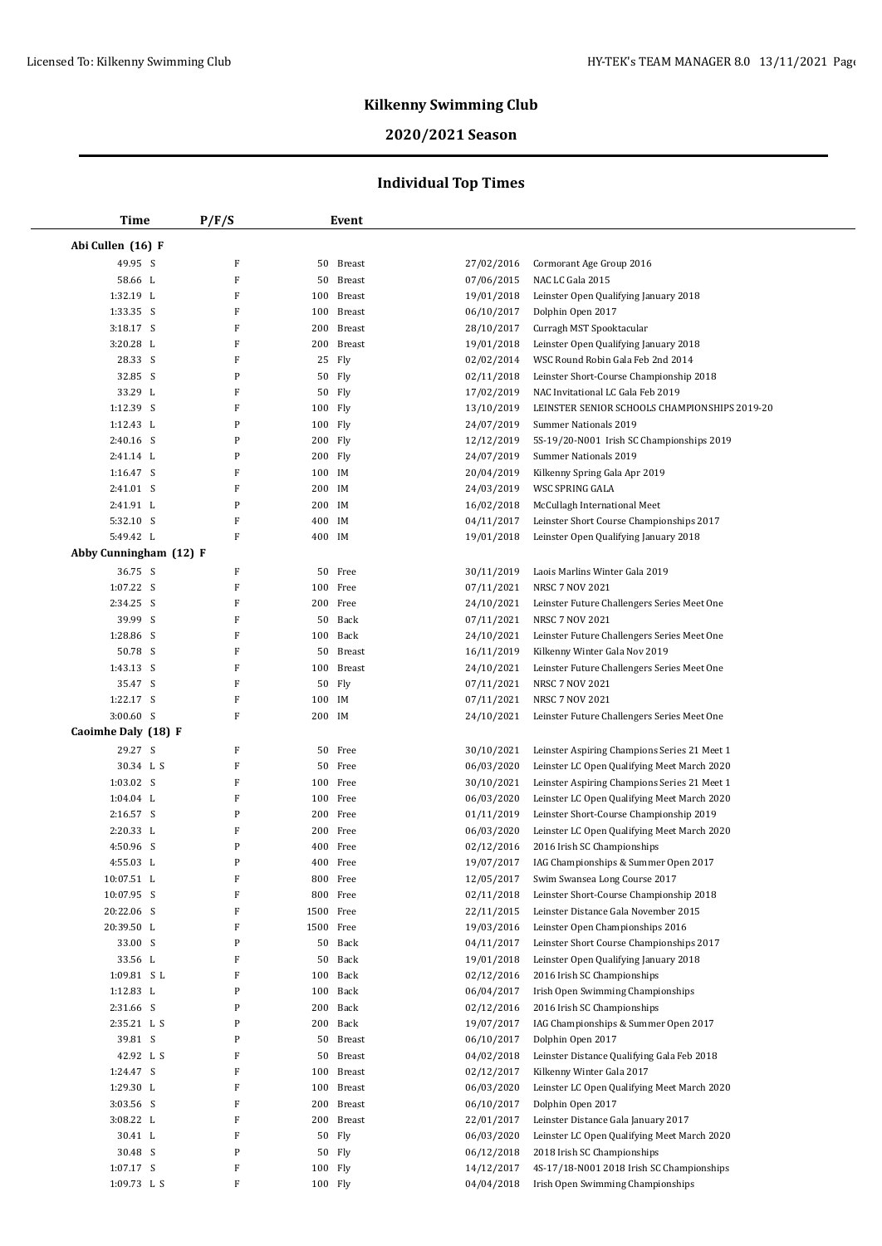# **2020/2021 Season**

| <b>Time</b>            | P/F/S     |           | Event         |            |                                               |
|------------------------|-----------|-----------|---------------|------------|-----------------------------------------------|
| Abi Cullen (16) F      |           |           |               |            |                                               |
| 49.95 S                | F         |           | 50 Breast     | 27/02/2016 | Cormorant Age Group 2016                      |
| 58.66 L                | F         |           | 50 Breast     | 07/06/2015 | NAC LC Gala 2015                              |
| 1:32.19 L              | F         | 100       | Breast        | 19/01/2018 | Leinster Open Qualifying January 2018         |
| 1:33.35 S              | F         | 100       | <b>Breast</b> | 06/10/2017 | Dolphin Open 2017                             |
| 3:18.17 S              | F         |           | 200 Breast    | 28/10/2017 | Curragh MST Spooktacular                      |
| 3:20.28 L              | F         |           | 200 Breast    | 19/01/2018 | Leinster Open Qualifying January 2018         |
| 28.33 S                | F         |           | 25 Fly        | 02/02/2014 | WSC Round Robin Gala Feb 2nd 2014             |
| 32.85 S                | P         |           | 50 Fly        | 02/11/2018 | Leinster Short-Course Championship 2018       |
| 33.29 L                | ${\bf F}$ |           | 50 Fly        | 17/02/2019 | NAC Invitational LC Gala Feb 2019             |
| 1:12.39 S              | F         | 100 Fly   |               | 13/10/2019 | LEINSTER SENIOR SCHOOLS CHAMPIONSHIPS 2019-20 |
| 1:12.43 L              | P         | 100 Fly   |               | 24/07/2019 | Summer Nationals 2019                         |
| 2:40.16 S              | P         | 200 Fly   |               | 12/12/2019 | 5S-19/20-N001 Irish SC Championships 2019     |
| 2:41.14 L              | P         | 200 Fly   |               | 24/07/2019 | Summer Nationals 2019                         |
| $1:16.47$ S            | ${\bf F}$ | 100 IM    |               | 20/04/2019 | Kilkenny Spring Gala Apr 2019                 |
| 2:41.01 S              | F         | 200 IM    |               | 24/03/2019 | WSC SPRING GALA                               |
| 2:41.91 L              | P         | 200 IM    |               | 16/02/2018 | McCullagh International Meet                  |
| 5:32.10 S              | F         | 400 IM    |               | 04/11/2017 | Leinster Short Course Championships 2017      |
| 5:49.42 L              | F         | 400 IM    |               | 19/01/2018 | Leinster Open Qualifying January 2018         |
| Abby Cunningham (12) F |           |           |               |            |                                               |
| 36.75 S                | F         | 50        | Free          | 30/11/2019 | Laois Marlins Winter Gala 2019                |
| 1:07.22 S              | ${\bf F}$ | 100       | Free          | 07/11/2021 | <b>NRSC 7 NOV 2021</b>                        |
| 2:34.25 S              | F         |           | 200 Free      | 24/10/2021 | Leinster Future Challengers Series Meet One   |
| 39.99 S                | F         |           | 50 Back       | 07/11/2021 | <b>NRSC 7 NOV 2021</b>                        |
| 1:28.86 S              | F         |           | 100 Back      | 24/10/2021 | Leinster Future Challengers Series Meet One   |
| 50.78 S                | F         | 50        | <b>Breast</b> | 16/11/2019 | Kilkenny Winter Gala Nov 2019                 |
| 1:43.13 S              | F         | 100       | Breast        | 24/10/2021 | Leinster Future Challengers Series Meet One   |
| 35.47 S                | F         |           | 50 Fly        | 07/11/2021 | NRSC 7 NOV 2021                               |
| 1:22.17 S              | F         | 100 IM    |               | 07/11/2021 | <b>NRSC 7 NOV 2021</b>                        |
| $3:00.60$ S            | F         | 200 IM    |               | 24/10/2021 | Leinster Future Challengers Series Meet One   |
| Caoimhe Daly (18) F    |           |           |               |            |                                               |
| 29.27 S                | F         |           | 50 Free       | 30/10/2021 | Leinster Aspiring Champions Series 21 Meet 1  |
| 30.34 L S              | F         |           | 50 Free       | 06/03/2020 | Leinster LC Open Qualifying Meet March 2020   |
| $1:03.02$ S            | F         | 100       | Free          | 30/10/2021 | Leinster Aspiring Champions Series 21 Meet 1  |
| 1:04.04 L              | F         | 100       | Free          | 06/03/2020 | Leinster LC Open Qualifying Meet March 2020   |
| $2:16.57$ S            | P         |           | 200 Free      | 01/11/2019 | Leinster Short-Course Championship 2019       |
| 2:20.33 L              | F         |           | 200 Free      | 06/03/2020 | Leinster LC Open Qualifying Meet March 2020   |
| 4:50.96 S              | P         | 400       | Free          | 02/12/2016 | 2016 Irish SC Championships                   |
| 4:55.03 L              | P         |           | 400 Free      | 19/07/2017 | IAG Championships & Summer Open 2017          |
| 10:07.51 L             | F         |           | 800 Free      | 12/05/2017 | Swim Swansea Long Course 2017                 |
| 10:07.95 S             | F         |           | 800 Free      | 02/11/2018 | Leinster Short-Course Championship 2018       |
| 20:22.06 S             | F         | 1500 Free |               | 22/11/2015 | Leinster Distance Gala November 2015          |
| 20:39.50 L             | F         | 1500      | Free          | 19/03/2016 | Leinster Open Championships 2016              |
| 33.00 S                | P         | 50        | Back          | 04/11/2017 | Leinster Short Course Championships 2017      |
| 33.56 L                | F         | 50        | Back          | 19/01/2018 | Leinster Open Qualifying January 2018         |
| 1:09.81 SL             | F         | 100       | Back          | 02/12/2016 | 2016 Irish SC Championships                   |
| 1:12.83 L              | P         | 100       | Back          | 06/04/2017 | Irish Open Swimming Championships             |
| 2:31.66 S              | P         | 200       | Back          | 02/12/2016 | 2016 Irish SC Championships                   |
| 2:35.21 L S            | P         | 200       | Back          | 19/07/2017 | IAG Championships & Summer Open 2017          |
| 39.81 S                | P         | 50        | Breast        | 06/10/2017 | Dolphin Open 2017                             |
| 42.92 L S              | F         | 50        | Breast        | 04/02/2018 | Leinster Distance Qualifying Gala Feb 2018    |
| 1:24.47 S              | F         |           | 100 Breast    | 02/12/2017 | Kilkenny Winter Gala 2017                     |
| 1:29.30 L              | F         |           | 100 Breast    | 06/03/2020 | Leinster LC Open Qualifying Meet March 2020   |
| 3:03.56 S              | F         | 200       | Breast        | 06/10/2017 | Dolphin Open 2017                             |
| 3:08.22 L              | F         | 200       | <b>Breast</b> | 22/01/2017 | Leinster Distance Gala January 2017           |
| 30.41 L                | F         |           | 50 Fly        | 06/03/2020 | Leinster LC Open Qualifying Meet March 2020   |
| 30.48 S                | P         |           | 50 Fly        | 06/12/2018 | 2018 Irish SC Championships                   |
| 1:07.17 S              | F         | 100 Fly   |               | 14/12/2017 | 4S-17/18-N001 2018 Irish SC Championships     |
| 1:09.73 L S            | F         | 100 Fly   |               | 04/04/2018 | Irish Open Swimming Championships             |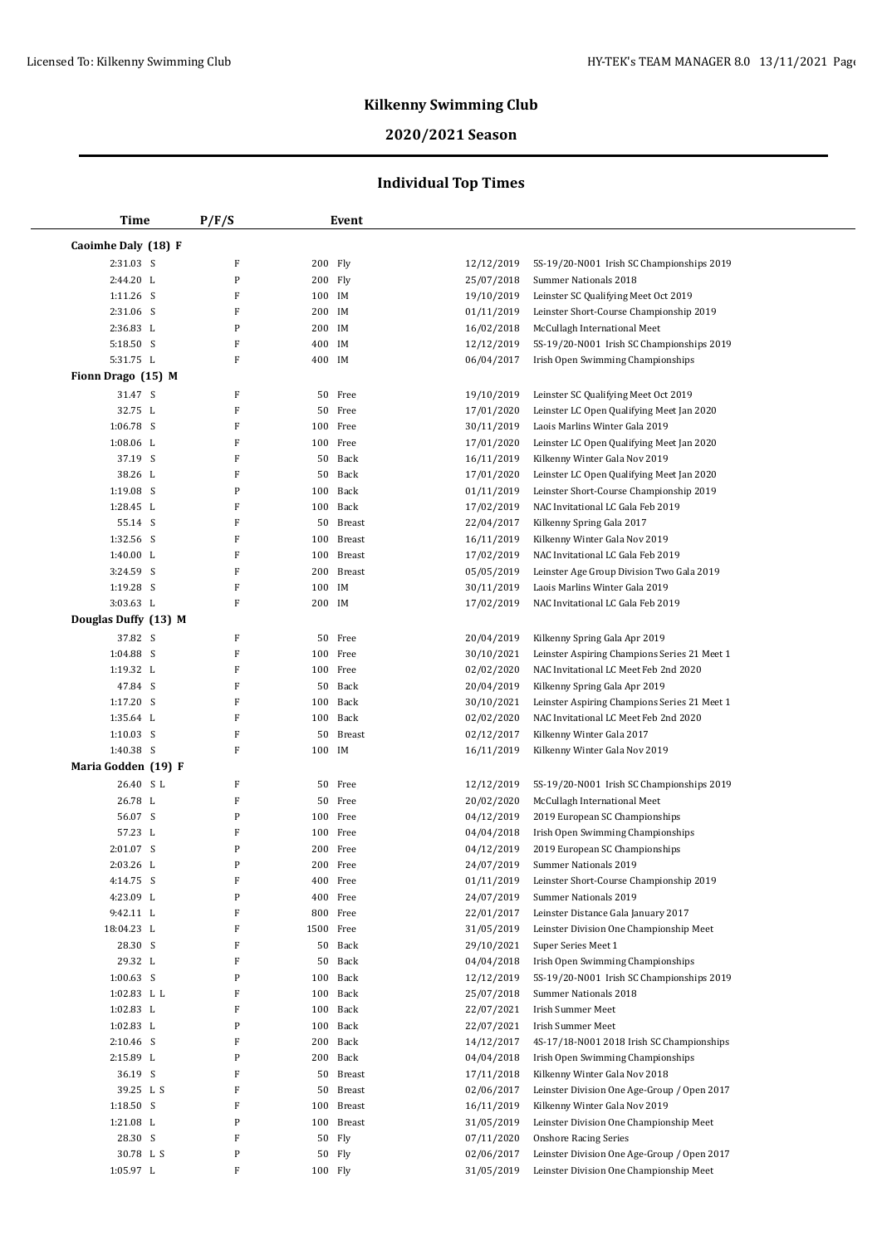$\frac{1}{2}$ 

## **Kilkenny Swimming Club**

# **2020/2021 Season**

| <b>Time</b>            | P/F/S          | Event                                 |                          |                                                                                |  |
|------------------------|----------------|---------------------------------------|--------------------------|--------------------------------------------------------------------------------|--|
| Caoimhe Daly (18) F    |                |                                       |                          |                                                                                |  |
| 2:31.03 S              | F              | 200 Fly                               | 12/12/2019               | 5S-19/20-N001 Irish SC Championships 2019                                      |  |
| 2:44.20 L              | ${\bf P}$      | 200 Fly                               | 25/07/2018               | Summer Nationals 2018                                                          |  |
| $1:11.26$ S            | F              | 100 IM                                | 19/10/2019               | Leinster SC Qualifying Meet Oct 2019                                           |  |
| 2:31.06 S              | F              | 200 IM                                | 01/11/2019               | Leinster Short-Course Championship 2019                                        |  |
| 2:36.83 L              | ${\bf P}$      | 200<br>IM                             | 16/02/2018               | McCullagh International Meet                                                   |  |
| 5:18.50 S              | F              | 400<br>IM                             | 12/12/2019               | 5S-19/20-N001 Irish SC Championships 2019                                      |  |
| 5:31.75 L              | F              | 400<br>IM                             | 06/04/2017               | Irish Open Swimming Championships                                              |  |
| Fionn Drago (15) M     |                |                                       |                          |                                                                                |  |
| 31.47 S                | F              | Free<br>50                            | 19/10/2019               | Leinster SC Qualifying Meet Oct 2019                                           |  |
| 32.75 L                | F              | 50<br>Free                            | 17/01/2020               | Leinster LC Open Qualifying Meet Jan 2020                                      |  |
| $1:06.78$ S            | F              | 100<br>Free                           | 30/11/2019               | Laois Marlins Winter Gala 2019                                                 |  |
| $1:08.06$ L            | F              | 100<br>Free                           | 17/01/2020               | Leinster LC Open Qualifying Meet Jan 2020                                      |  |
| 37.19 S                | F              | 50 Back                               | 16/11/2019               | Kilkenny Winter Gala Nov 2019                                                  |  |
| 38.26 L                | F              | 50<br>Back                            | 17/01/2020               | Leinster LC Open Qualifying Meet Jan 2020                                      |  |
| 1:19.08 S              | ${\bf P}$      | Back<br>100                           | 01/11/2019               | Leinster Short-Course Championship 2019                                        |  |
| 1:28.45 L              | F              | 100<br>Back                           | 17/02/2019               | NAC Invitational LC Gala Feb 2019                                              |  |
| 55.14 S<br>1:32.56 S   | F<br>F         | 50<br><b>Breast</b>                   | 22/04/2017               | Kilkenny Spring Gala 2017                                                      |  |
| 1:40.00 L              | F              | 100<br>Breast<br>100<br><b>Breast</b> | 16/11/2019<br>17/02/2019 | Kilkenny Winter Gala Nov 2019<br>NAC Invitational LC Gala Feb 2019             |  |
| 3:24.59 S              | F              | 200<br>Breast                         | 05/05/2019               | Leinster Age Group Division Two Gala 2019                                      |  |
| 1:19.28 S              | F              | 100<br>IM                             | 30/11/2019               | Laois Marlins Winter Gala 2019                                                 |  |
| $3:03.63$ L            | F              | 200 IM                                | 17/02/2019               | NAC Invitational LC Gala Feb 2019                                              |  |
| Douglas Duffy (13) M   |                |                                       |                          |                                                                                |  |
| 37.82 S                | F              | 50 Free                               | 20/04/2019               | Kilkenny Spring Gala Apr 2019                                                  |  |
| $1:04.88$ S            | F              | Free<br>100                           | 30/10/2021               | Leinster Aspiring Champions Series 21 Meet 1                                   |  |
| 1:19.32 L              | F              | 100 Free                              | 02/02/2020               | NAC Invitational LC Meet Feb 2nd 2020                                          |  |
| 47.84 S                | F              | 50<br>Back                            | 20/04/2019               | Kilkenny Spring Gala Apr 2019                                                  |  |
| $1:17.20$ S            | F              | Back<br>100                           | 30/10/2021               | Leinster Aspiring Champions Series 21 Meet 1                                   |  |
| 1:35.64 L              | F              | Back<br>100                           | 02/02/2020               | NAC Invitational LC Meet Feb 2nd 2020                                          |  |
| $1:10.03$ S            | F              | 50<br><b>Breast</b>                   | 02/12/2017               | Kilkenny Winter Gala 2017                                                      |  |
| 1:40.38 S              | F              | 100 IM                                | 16/11/2019               | Kilkenny Winter Gala Nov 2019                                                  |  |
| Maria Godden (19) F    |                |                                       |                          |                                                                                |  |
| 26.40 SL               | F              | Free<br>50                            | 12/12/2019               | 5S-19/20-N001 Irish SC Championships 2019                                      |  |
| 26.78 L                | F              | 50 Free                               | 20/02/2020               | McCullagh International Meet                                                   |  |
| 56.07 S                | ${\bf P}$      | 100 Free                              | 04/12/2019               | 2019 European SC Championships                                                 |  |
| 57.23 L                | F              | 100 Free                              | 04/04/2018               | Irish Open Swimming Championships                                              |  |
| 2:01.07 S              | ${\bf P}$      | 200 Free                              | 04/12/2019               | 2019 European SC Championships                                                 |  |
| 2:03.26 L              | ${\bf P}$      | 200 Free                              | 24/07/2019               | Summer Nationals 2019                                                          |  |
| 4:14.75 S              | F              | 400 Free                              |                          | 01/11/2019 Leinster Short-Course Championship 2019                             |  |
| 4:23.09 L              | ${\bf P}$      | 400 Free                              | 24/07/2019               | Summer Nationals 2019                                                          |  |
| 9:42.11 L              | F              | 800 Free                              | 22/01/2017               | Leinster Distance Gala January 2017                                            |  |
| 18:04.23 L             | F              | 1500 Free                             | 31/05/2019               | Leinster Division One Championship Meet                                        |  |
| 28.30 S                | F              | 50<br>Back                            | 29/10/2021               | Super Series Meet 1                                                            |  |
| 29.32 L<br>$1:00.63$ S | F<br>${\bf P}$ | 50<br>Back<br>100                     | 04/04/2018               | Irish Open Swimming Championships<br>5S-19/20-N001 Irish SC Championships 2019 |  |
| 1:02.83 L L            | F              | Back<br>100<br>Back                   | 12/12/2019<br>25/07/2018 | Summer Nationals 2018                                                          |  |
| 1:02.83 L              | F              | 100 Back                              | 22/07/2021               | Irish Summer Meet                                                              |  |
| $1:02.83$ L            | P              | 100<br>Back                           | 22/07/2021               | Irish Summer Meet                                                              |  |
| 2:10.46 S              | F              | 200<br>Back                           | 14/12/2017               | 4S-17/18-N001 2018 Irish SC Championships                                      |  |
| 2:15.89 L              | ${\bf P}$      | 200<br>Back                           | 04/04/2018               | Irish Open Swimming Championships                                              |  |
| 36.19 S                | $\mathbf F$    | 50<br><b>Breast</b>                   | 17/11/2018               | Kilkenny Winter Gala Nov 2018                                                  |  |
| 39.25 L S              | F              | 50<br><b>Breast</b>                   | 02/06/2017               | Leinster Division One Age-Group / Open 2017                                    |  |
| 1:18.50 S              | F              | 100<br><b>Breast</b>                  | 16/11/2019               | Kilkenny Winter Gala Nov 2019                                                  |  |
| 1:21.08 L              | ${\bf P}$      | 100<br><b>Breast</b>                  | 31/05/2019               | Leinster Division One Championship Meet                                        |  |
| 28.30 S                | F              | 50<br>Fly                             | 07/11/2020               | <b>Onshore Racing Series</b>                                                   |  |
| 30.78 L S              | ${\bf P}$      | Fly<br>50                             | 02/06/2017               | Leinster Division One Age-Group / Open 2017                                    |  |
| 1:05.97 L              | F              | 100 Fly                               | 31/05/2019               | Leinster Division One Championship Meet                                        |  |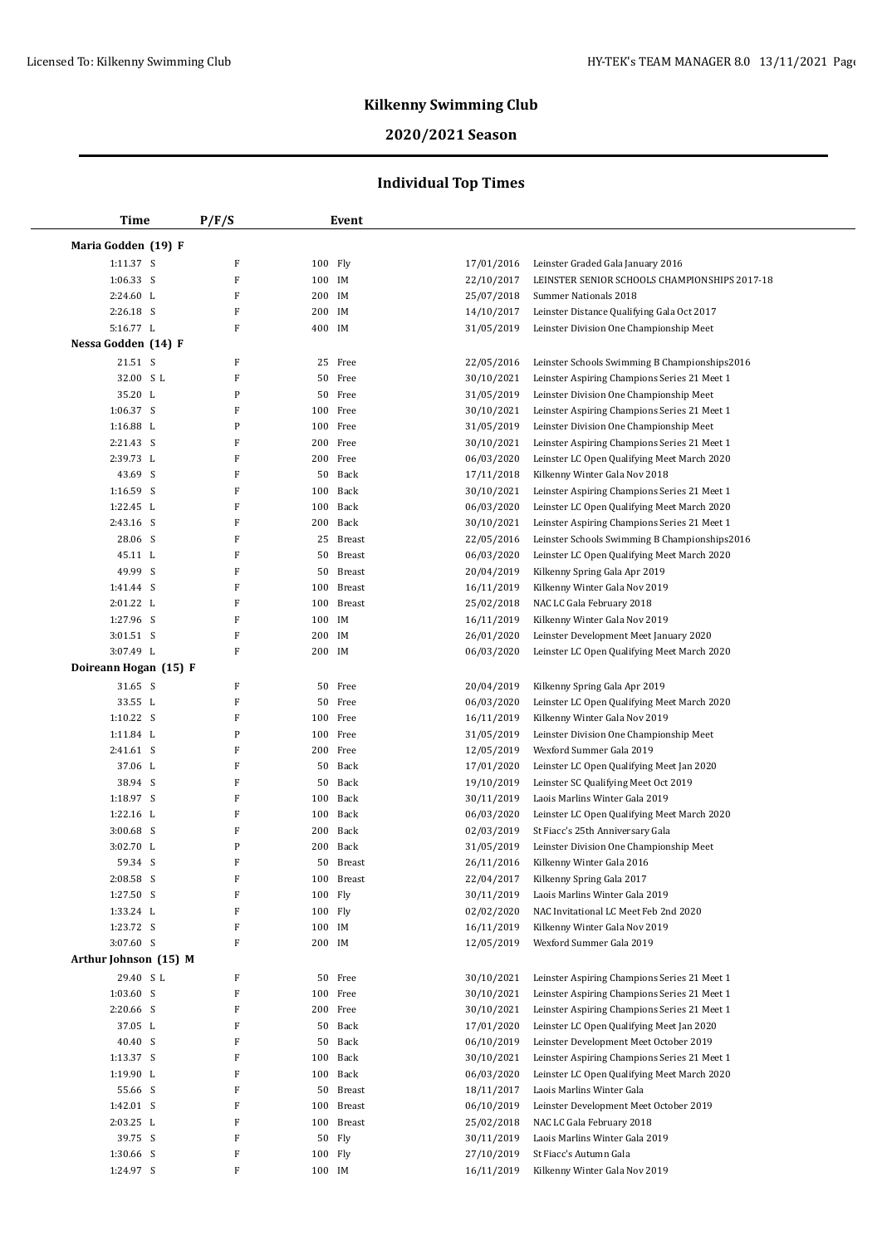$\mathbb{R}^2$ 

## **Kilkenny Swimming Club**

# **2020/2021 Season**

| <b>Time</b>           | P/F/S            | Event                      |                          |                                                                               |  |
|-----------------------|------------------|----------------------------|--------------------------|-------------------------------------------------------------------------------|--|
| Maria Godden (19) F   |                  |                            |                          |                                                                               |  |
| 1:11.37 S             | F                | 100 Fly                    | 17/01/2016               | Leinster Graded Gala January 2016                                             |  |
| 1:06.33 S             | F                | IM<br>100                  | 22/10/2017               | LEINSTER SENIOR SCHOOLS CHAMPIONSHIPS 2017-18                                 |  |
| 2:24.60 L             | F                | IM<br>200                  | 25/07/2018               | Summer Nationals 2018                                                         |  |
| $2:26.18$ S           | $\mathbf F$      | 200<br>IM                  | 14/10/2017               | Leinster Distance Qualifying Gala Oct 2017                                    |  |
| 5:16.77 L             | F                | 400<br>IM                  | 31/05/2019               | Leinster Division One Championship Meet                                       |  |
| Nessa Godden (14) F   |                  |                            |                          |                                                                               |  |
| 21.51 S               | F                | Free<br>25                 | 22/05/2016               | Leinster Schools Swimming B Championships2016                                 |  |
| 32.00 SL              | $\mathbf F$      | Free<br>50                 | 30/10/2021               | Leinster Aspiring Champions Series 21 Meet 1                                  |  |
| 35.20 L               | P                | 50<br>Free                 | 31/05/2019               | Leinster Division One Championship Meet                                       |  |
| 1:06.37 S             | $\mathbf F$      | 100<br>Free                | 30/10/2021               | Leinster Aspiring Champions Series 21 Meet 1                                  |  |
| 1:16.88 L             | P                | 100<br>Free                | 31/05/2019               | Leinster Division One Championship Meet                                       |  |
| 2:21.43 S             | F                | 200<br>Free                | 30/10/2021               | Leinster Aspiring Champions Series 21 Meet 1                                  |  |
| 2:39.73 L             | ${\bf F}$        | 200<br>Free                | 06/03/2020               | Leinster LC Open Qualifying Meet March 2020                                   |  |
| 43.69 S               | F                | 50<br>Back                 | 17/11/2018               | Kilkenny Winter Gala Nov 2018                                                 |  |
| $1:16.59$ S           | $\mathbf F$      | Back<br>100                | 30/10/2021               | Leinster Aspiring Champions Series 21 Meet 1                                  |  |
| 1:22.45 L             | $\mathbf F$      | Back<br>100                | 06/03/2020               | Leinster LC Open Qualifying Meet March 2020                                   |  |
| 2:43.16 S             | $\mathbf F$      | Back<br>200                | 30/10/2021               | Leinster Aspiring Champions Series 21 Meet 1                                  |  |
| 28.06 S               | $\mathbf F$      | 25<br>Breast               | 22/05/2016               | Leinster Schools Swimming B Championships2016                                 |  |
| 45.11 L               | F                | 50<br>Breast               | 06/03/2020               | Leinster LC Open Qualifying Meet March 2020                                   |  |
| 49.99 S               | ${\bf F}$        | 50<br>Breast               | 20/04/2019               | Kilkenny Spring Gala Apr 2019                                                 |  |
| 1:41.44 S             | $\mathbf F$      | 100<br>Breast              | 16/11/2019               | Kilkenny Winter Gala Nov 2019                                                 |  |
| 2:01.22 L             | F                | 100<br>Breast              | 25/02/2018               | NAC LC Gala February 2018                                                     |  |
| 1:27.96 S             | F                | IM<br>100                  | 16/11/2019               | Kilkenny Winter Gala Nov 2019                                                 |  |
| $3:01.51$ S           | F                | IM<br>200                  | 26/01/2020               | Leinster Development Meet January 2020                                        |  |
| 3:07.49 L             | ${\bf F}$        | 200 IM                     | 06/03/2020               | Leinster LC Open Qualifying Meet March 2020                                   |  |
| Doireann Hogan (15) F |                  |                            |                          |                                                                               |  |
| 31.65 S               | F                | 50<br>Free                 | 20/04/2019               | Kilkenny Spring Gala Apr 2019                                                 |  |
| 33.55 L               | F                | Free<br>50                 | 06/03/2020               | Leinster LC Open Qualifying Meet March 2020                                   |  |
| 1:10.22 S             | F                | 100<br>Free                | 16/11/2019               | Kilkenny Winter Gala Nov 2019                                                 |  |
| 1:11.84 L             | P                | Free<br>100                | 31/05/2019               | Leinster Division One Championship Meet                                       |  |
| 2:41.61 S             | F                | 200<br>Free                | 12/05/2019               | Wexford Summer Gala 2019                                                      |  |
| 37.06 L               | F                | 50<br>Back                 | 17/01/2020               | Leinster LC Open Qualifying Meet Jan 2020                                     |  |
| 38.94 S<br>1:18.97 S  | F<br>$\mathbf F$ | 50<br>Back                 | 19/10/2019               | Leinster SC Qualifying Meet Oct 2019                                          |  |
| 1:22.16 L             | F                | 100<br>Back<br>100<br>Back | 30/11/2019<br>06/03/2020 | Laois Marlins Winter Gala 2019<br>Leinster LC Open Qualifying Meet March 2020 |  |
| $3:00.68$ S           | F                | 200<br>Back                | 02/03/2019               | St Fiacc's 25th Anniversary Gala                                              |  |
| 3:02.70 L             | P                | 200<br>Back                | 31/05/2019               | Leinster Division One Championship Meet                                       |  |
| 59.34 S               | ${\bf F}$        | 50 Breast                  | 26/11/2016               | Kilkenny Winter Gala 2016                                                     |  |
| $2:08.58$ S           | F                | 100 Breast                 | 22/04/2017               | Kilkenny Spring Gala 2017                                                     |  |
| 1:27.50 S             | F                | 100 Fly                    | 30/11/2019               | Laois Marlins Winter Gala 2019                                                |  |
| 1:33.24 L             | F                | 100 Fly                    | 02/02/2020               | NAC Invitational LC Meet Feb 2nd 2020                                         |  |
| 1:23.72 S             | F                | 100 IM                     | 16/11/2019               | Kilkenny Winter Gala Nov 2019                                                 |  |
| 3:07.60 S             | $\mathbf F$      | 200 IM                     | 12/05/2019               | Wexford Summer Gala 2019                                                      |  |
| Arthur Johnson (15) M |                  |                            |                          |                                                                               |  |
| 29.40 SL              | F                | Free<br>50                 | 30/10/2021               | Leinster Aspiring Champions Series 21 Meet 1                                  |  |
| $1:03.60$ S           | F                | Free<br>100                | 30/10/2021               | Leinster Aspiring Champions Series 21 Meet 1                                  |  |
| 2:20.66 S             | F                | 200 Free                   | 30/10/2021               | Leinster Aspiring Champions Series 21 Meet 1                                  |  |
| 37.05 L               | F                | 50<br>Back                 | 17/01/2020               | Leinster LC Open Qualifying Meet Jan 2020                                     |  |
| 40.40 S               | F                | 50<br>Back                 | 06/10/2019               | Leinster Development Meet October 2019                                        |  |
| 1:13.37 S             | F                | 100<br>Back                | 30/10/2021               | Leinster Aspiring Champions Series 21 Meet 1                                  |  |
| 1:19.90 L             | F                | 100<br>Back                | 06/03/2020               | Leinster LC Open Qualifying Meet March 2020                                   |  |
| 55.66 S               | F                | 50<br>Breast               | 18/11/2017               | Laois Marlins Winter Gala                                                     |  |
| 1:42.01 S             | F                | 100<br>Breast              | 06/10/2019               | Leinster Development Meet October 2019                                        |  |
| 2:03.25 L             | F                | 100<br>Breast              | 25/02/2018               | NAC LC Gala February 2018                                                     |  |
| 39.75 S               | F                | 50<br>Fly                  | 30/11/2019               | Laois Marlins Winter Gala 2019                                                |  |
| 1:30.66 S             | F                | 100 Fly                    | 27/10/2019               | St Fiacc's Autumn Gala                                                        |  |
| 1:24.97 S             | $\mathbf F$      | 100 IM                     | 16/11/2019               | Kilkenny Winter Gala Nov 2019                                                 |  |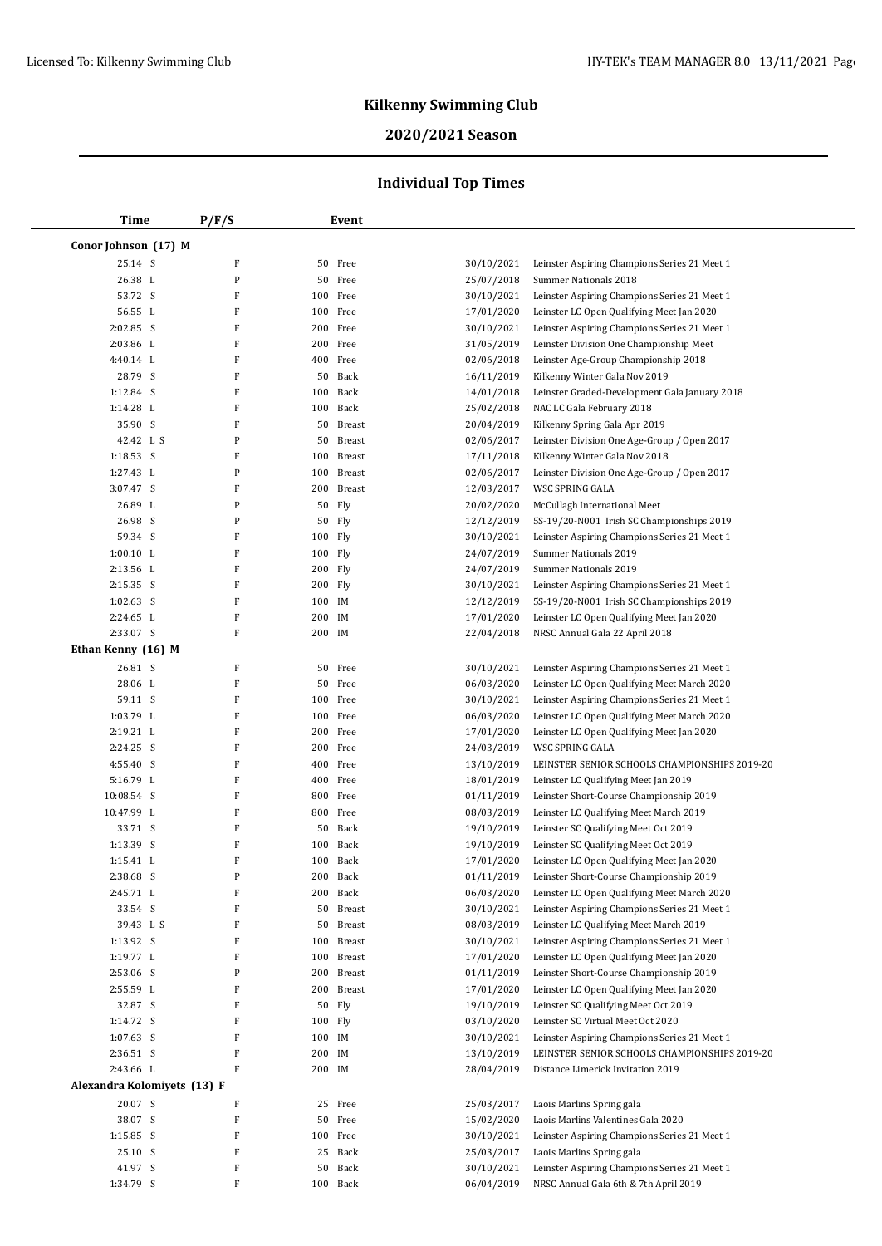$\overline{\phantom{a}}$ 

## **Kilkenny Swimming Club**

# **2020/2021 Season**

| <b>Time</b>                 | P/F/S       |           | Event         |                          |                                                                                |
|-----------------------------|-------------|-----------|---------------|--------------------------|--------------------------------------------------------------------------------|
| Conor Johnson (17) M        |             |           |               |                          |                                                                                |
| 25.14 S                     | F           |           | 50 Free       | 30/10/2021               | Leinster Aspiring Champions Series 21 Meet 1                                   |
| 26.38 L                     | P           |           | 50 Free       | 25/07/2018               | Summer Nationals 2018                                                          |
| 53.72 S                     | F           | 100       | Free          | 30/10/2021               | Leinster Aspiring Champions Series 21 Meet 1                                   |
| 56.55 L                     | F           | 100       | Free          | 17/01/2020               | Leinster LC Open Qualifying Meet Jan 2020                                      |
| $2:02.85$ S                 | $\mathbf F$ |           | 200 Free      | 30/10/2021               | Leinster Aspiring Champions Series 21 Meet 1                                   |
| 2:03.86 L                   | F           |           | 200 Free      | 31/05/2019               | Leinster Division One Championship Meet                                        |
| 4:40.14 L                   | F           |           | 400 Free      | 02/06/2018               | Leinster Age-Group Championship 2018                                           |
| 28.79 S                     | F           | 50        | Back          | 16/11/2019               | Kilkenny Winter Gala Nov 2019                                                  |
| 1:12.84 S                   | F           | 100       | Back          | 14/01/2018               | Leinster Graded-Development Gala January 2018                                  |
| 1:14.28 L                   | F           | 100       | Back          | 25/02/2018               | NAC LC Gala February 2018                                                      |
| 35.90 S                     | F           | 50        | <b>Breast</b> | 20/04/2019               | Kilkenny Spring Gala Apr 2019                                                  |
| 42.42 L S                   | P           | 50        | Breast        | 02/06/2017               | Leinster Division One Age-Group / Open 2017                                    |
| 1:18.53 S                   | F           |           | 100 Breast    | 17/11/2018               | Kilkenny Winter Gala Nov 2018                                                  |
| 1:27.43 L                   | P           | 100       | <b>Breast</b> | 02/06/2017               | Leinster Division One Age-Group / Open 2017                                    |
| 3:07.47 S                   | F           | 200       | <b>Breast</b> | 12/03/2017               | WSC SPRING GALA                                                                |
| 26.89 L                     | P           | 50        | Fly           | 20/02/2020               | McCullagh International Meet                                                   |
| 26.98 S                     | P           | 50        | Fly           | 12/12/2019               | 5S-19/20-N001 Irish SC Championships 2019                                      |
| 59.34 S                     | F           | 100 Fly   |               | 30/10/2021               | Leinster Aspiring Champions Series 21 Meet 1                                   |
| $1:00.10$ L                 | F           | 100 Fly   |               | 24/07/2019               | Summer Nationals 2019                                                          |
| 2:13.56 L                   | F           | 200 Fly   |               | 24/07/2019               | Summer Nationals 2019                                                          |
| 2:15.35 S                   | F           | 200 Fly   |               | 30/10/2021               | Leinster Aspiring Champions Series 21 Meet 1                                   |
| $1:02.63$ S                 | F           | 100 IM    |               | 12/12/2019               | 5S-19/20-N001 Irish SC Championships 2019                                      |
| 2:24.65 L                   | F           | 200 IM    |               | 17/01/2020               | Leinster LC Open Qualifying Meet Jan 2020                                      |
| 2:33.07 S                   | F           | 200 IM    |               | 22/04/2018               | NRSC Annual Gala 22 April 2018                                                 |
| Ethan Kenny (16) M          |             |           |               |                          |                                                                                |
| 26.81 S                     | F           | 50        | Free          | 30/10/2021               | Leinster Aspiring Champions Series 21 Meet 1                                   |
| 28.06 L                     | $\mathbf F$ | 50        | Free          | 06/03/2020               | Leinster LC Open Qualifying Meet March 2020                                    |
| 59.11 S                     | F           |           | 100 Free      | 30/10/2021               | Leinster Aspiring Champions Series 21 Meet 1                                   |
| 1:03.79 L                   | F           |           | 100 Free      | 06/03/2020               | Leinster LC Open Qualifying Meet March 2020                                    |
| 2:19.21 L                   | F           |           | 200 Free      | 17/01/2020               | Leinster LC Open Qualifying Meet Jan 2020                                      |
| $2:24.25$ S                 | F           | 200       | Free          | 24/03/2019               | WSC SPRING GALA                                                                |
| 4:55.40 S                   | F           | 400       | Free          | 13/10/2019               | LEINSTER SENIOR SCHOOLS CHAMPIONSHIPS 2019-20                                  |
| 5:16.79 L                   | F           | 400       | Free          | 18/01/2019               | Leinster LC Qualifying Meet Jan 2019                                           |
| 10:08.54 S                  | F           |           | 800 Free      | 01/11/2019               | Leinster Short-Course Championship 2019                                        |
| 10:47.99 L                  | F<br>F      |           | 800 Free      | 08/03/2019               | Leinster LC Qualifying Meet March 2019<br>Leinster SC Qualifying Meet Oct 2019 |
| 33.71 S<br>1:13.39 S        | F           | 50<br>100 | Back<br>Back  | 19/10/2019<br>19/10/2019 | Leinster SC Qualifying Meet Oct 2019                                           |
| 1:15.41 L                   | $\mathbf F$ | 100       | Back          | 17/01/2020               | Leinster LC Open Qualifying Meet Jan 2020                                      |
| 2:38.68 S                   | P           | 200       | Back          | 01/11/2019               | Leinster Short-Course Championship 2019                                        |
| 2:45.71 L                   | F           |           | 200 Back      | 06/03/2020               | Leinster LC Open Qualifying Meet March 2020                                    |
| 33.54 S                     | F           | 50        | <b>Breast</b> | 30/10/2021               | Leinster Aspiring Champions Series 21 Meet 1                                   |
| 39.43 L S                   | F           | 50        | Breast        | 08/03/2019               | Leinster LC Qualifying Meet March 2019                                         |
| 1:13.92 S                   | F           |           | 100 Breast    | 30/10/2021               | Leinster Aspiring Champions Series 21 Meet 1                                   |
| 1:19.77 L                   | F           |           | 100 Breast    | 17/01/2020               | Leinster LC Open Qualifying Meet Jan 2020                                      |
| 2:53.06 S                   | P           | 200       | Breast        | 01/11/2019               | Leinster Short-Course Championship 2019                                        |
| 2:55.59 L                   | F           | 200       | Breast        | 17/01/2020               | Leinster LC Open Qualifying Meet Jan 2020                                      |
| 32.87 S                     | F           | 50        | Fly           | 19/10/2019               | Leinster SC Qualifying Meet Oct 2019                                           |
| 1:14.72 S                   | F           | 100 Fly   |               | 03/10/2020               | Leinster SC Virtual Meet Oct 2020                                              |
| 1:07.63 S                   | F           | 100 IM    |               | 30/10/2021               | Leinster Aspiring Champions Series 21 Meet 1                                   |
| 2:36.51 S                   | F           | 200 IM    |               | 13/10/2019               | LEINSTER SENIOR SCHOOLS CHAMPIONSHIPS 2019-20                                  |
| 2:43.66 L                   | F           | 200 IM    |               | 28/04/2019               | Distance Limerick Invitation 2019                                              |
| Alexandra Kolomiyets (13) F |             |           |               |                          |                                                                                |
| 20.07 S                     | F           | 25        | Free          | 25/03/2017               | Laois Marlins Spring gala                                                      |
| 38.07 S                     | F           | 50        | Free          | 15/02/2020               | Laois Marlins Valentines Gala 2020                                             |
| 1:15.85 S                   | $\mathbf F$ |           | 100 Free      | 30/10/2021               | Leinster Aspiring Champions Series 21 Meet 1                                   |
| 25.10 S                     | F           |           | 25 Back       | 25/03/2017               | Laois Marlins Spring gala                                                      |
| 41.97 S                     | F           | 50        | Back          | 30/10/2021               | Leinster Aspiring Champions Series 21 Meet 1                                   |
| 1:34.79 S                   | F           |           | 100 Back      | 06/04/2019               | NRSC Annual Gala 6th & 7th April 2019                                          |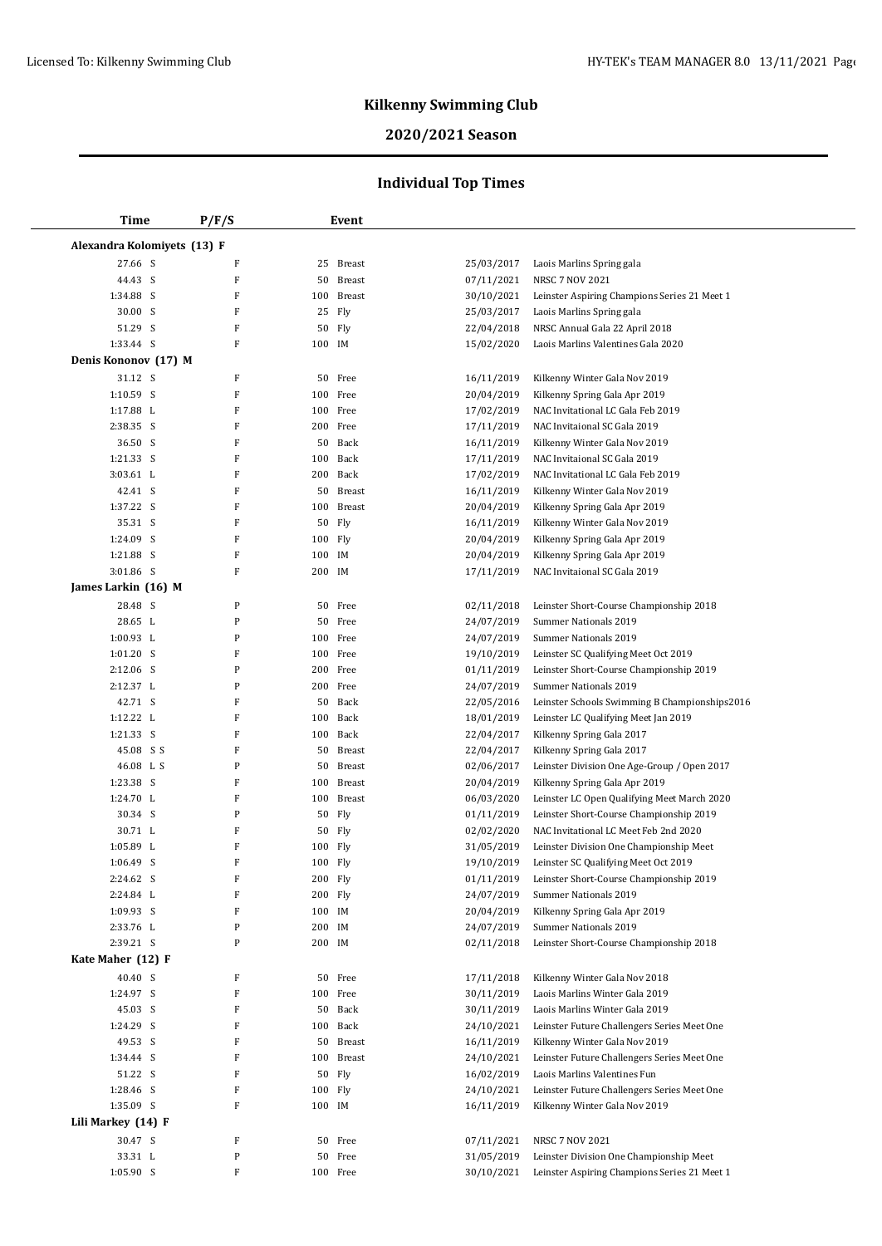# **2020/2021 Season**

| Time                        | P/F/S       | Event                |            |                                                    |
|-----------------------------|-------------|----------------------|------------|----------------------------------------------------|
| Alexandra Kolomiyets (13) F |             |                      |            |                                                    |
| 27.66 S                     | F           | 25 Breast            | 25/03/2017 | Laois Marlins Spring gala                          |
| 44.43 S                     | F           | Breast<br>50         | 07/11/2021 | NRSC 7 NOV 2021                                    |
| 1:34.88 S                   | F           | <b>Breast</b><br>100 | 30/10/2021 | Leinster Aspiring Champions Series 21 Meet 1       |
| 30.00 S                     | $\mathbf F$ | 25 Fly               | 25/03/2017 | Laois Marlins Spring gala                          |
| 51.29 S                     | $\mathbf F$ | 50<br>Fly            | 22/04/2018 | NRSC Annual Gala 22 April 2018                     |
| 1:33.44 S                   | F           | 100 IM               | 15/02/2020 | Laois Marlins Valentines Gala 2020                 |
| Denis Kononov (17) M        |             |                      |            |                                                    |
| 31.12 S                     | F           | 50<br>Free           | 16/11/2019 | Kilkenny Winter Gala Nov 2019                      |
| $1:10.59$ S                 | $\mathbf F$ | 100 Free             | 20/04/2019 | Kilkenny Spring Gala Apr 2019                      |
| 1:17.88 L                   | $\mathbf F$ | 100<br>Free          | 17/02/2019 | NAC Invitational LC Gala Feb 2019                  |
| 2:38.35 S                   | F           | 200 Free             | 17/11/2019 | NAC Invitaional SC Gala 2019                       |
| 36.50 S                     | F           | 50<br>Back           | 16/11/2019 | Kilkenny Winter Gala Nov 2019                      |
| 1:21.33 S                   | F           | 100 Back             | 17/11/2019 | NAC Invitaional SC Gala 2019                       |
| 3:03.61 L                   | $\mathbf F$ | 200 Back             | 17/02/2019 | NAC Invitational LC Gala Feb 2019                  |
| 42.41 S                     | $\mathbf F$ | 50<br><b>Breast</b>  | 16/11/2019 | Kilkenny Winter Gala Nov 2019                      |
| 1:37.22 S                   | $\mathbf F$ | <b>Breast</b><br>100 | 20/04/2019 | Kilkenny Spring Gala Apr 2019                      |
| 35.31 S                     | F           | 50<br>Fly            | 16/11/2019 | Kilkenny Winter Gala Nov 2019                      |
| 1:24.09 S                   | F           | 100 Fly              | 20/04/2019 | Kilkenny Spring Gala Apr 2019                      |
| 1:21.88 S                   | F           | 100 IM               | 20/04/2019 | Kilkenny Spring Gala Apr 2019                      |
| $3:01.86$ S                 | $\mathbf F$ | 200 IM               | 17/11/2019 | NAC Invitaional SC Gala 2019                       |
| James Larkin (16) M         |             |                      |            |                                                    |
| 28.48 S                     | P           | 50 Free              | 02/11/2018 | Leinster Short-Course Championship 2018            |
| 28.65 L                     | P           | 50<br>Free           | 24/07/2019 | Summer Nationals 2019                              |
| 1:00.93 L                   | P           | 100 Free             | 24/07/2019 | Summer Nationals 2019                              |
| 1:01.20 S                   | F           | 100 Free             | 19/10/2019 | Leinster SC Qualifying Meet Oct 2019               |
| 2:12.06 S                   | ${\bf P}$   | 200 Free             | 01/11/2019 | Leinster Short-Course Championship 2019            |
| 2:12.37 L                   | P           | 200<br>Free          | 24/07/2019 | Summer Nationals 2019                              |
| 42.71 S                     | F           | 50<br>Back           | 22/05/2016 | Leinster Schools Swimming B Championships2016      |
| 1:12.22 L                   | F           | 100<br>Back          | 18/01/2019 | Leinster LC Qualifying Meet Jan 2019               |
| 1:21.33 S                   | F           | 100 Back             | 22/04/2017 | Kilkenny Spring Gala 2017                          |
| 45.08 S S                   | $\mathbf F$ | Breast<br>50         | 22/04/2017 | Kilkenny Spring Gala 2017                          |
| 46.08 L S                   | P           | 50<br>Breast         | 02/06/2017 | Leinster Division One Age-Group / Open 2017        |
| 1:23.38 S                   | ${\bf F}$   | <b>Breast</b><br>100 | 20/04/2019 | Kilkenny Spring Gala Apr 2019                      |
| 1:24.70 L                   | F           | 100<br><b>Breast</b> | 06/03/2020 | Leinster LC Open Qualifying Meet March 2020        |
| 30.34 S                     | P           | 50 Fly               | 01/11/2019 | Leinster Short-Course Championship 2019            |
| 30.71 L                     | F           | 50 Fly               | 02/02/2020 | NAC Invitational LC Meet Feb 2nd 2020              |
| 1:05.89 L                   | F           | 100 Fly              | 31/05/2019 | Leinster Division One Championship Meet            |
| 1:06.49 S                   | ${\bf F}$   | 100 Fly              | 19/10/2019 | Leinster SC Qualifying Meet Oct 2019               |
| 2:24.62 S                   | F           | 200 Fly              |            | 01/11/2019 Leinster Short-Course Championship 2019 |
| 2:24.84 L                   | F           | 200 Fly              | 24/07/2019 | Summer Nationals 2019                              |
| 1:09.93 S                   | F           | 100 IM               | 20/04/2019 | Kilkenny Spring Gala Apr 2019                      |
| 2:33.76 L                   | P           | 200 IM               | 24/07/2019 | Summer Nationals 2019                              |
| 2:39.21 S                   | P           | 200 IM               | 02/11/2018 | Leinster Short-Course Championship 2018            |
| Kate Maher (12) F           |             |                      |            |                                                    |
| 40.40 S                     | F           | 50<br>Free           | 17/11/2018 | Kilkenny Winter Gala Nov 2018                      |
| 1:24.97 S                   | F           | 100 Free             | 30/11/2019 | Laois Marlins Winter Gala 2019                     |
| 45.03 S                     | F           | 50 Back              | 30/11/2019 | Laois Marlins Winter Gala 2019                     |
| 1:24.29 S                   | F           | 100 Back             | 24/10/2021 | Leinster Future Challengers Series Meet One        |
| 49.53 S                     | F           | 50 Breast            | 16/11/2019 | Kilkenny Winter Gala Nov 2019                      |
| 1:34.44 S                   | F           | 100 Breast           | 24/10/2021 | Leinster Future Challengers Series Meet One        |
| 51.22 S                     | F           | 50 Fly               | 16/02/2019 | Laois Marlins Valentines Fun                       |
| 1:28.46 S                   | F           | 100 Fly              | 24/10/2021 | Leinster Future Challengers Series Meet One        |
| 1:35.09 S                   | F           | 100 IM               | 16/11/2019 | Kilkenny Winter Gala Nov 2019                      |
| Lili Markey (14) F          |             |                      |            |                                                    |
| 30.47 S                     | F           | 50 Free              | 07/11/2021 | NRSC 7 NOV 2021                                    |
| 33.31 L                     | ${\bf P}$   | 50 Free              | 31/05/2019 | Leinster Division One Championship Meet            |
| 1:05.90 S                   | F           | 100 Free             | 30/10/2021 | Leinster Aspiring Champions Series 21 Meet 1       |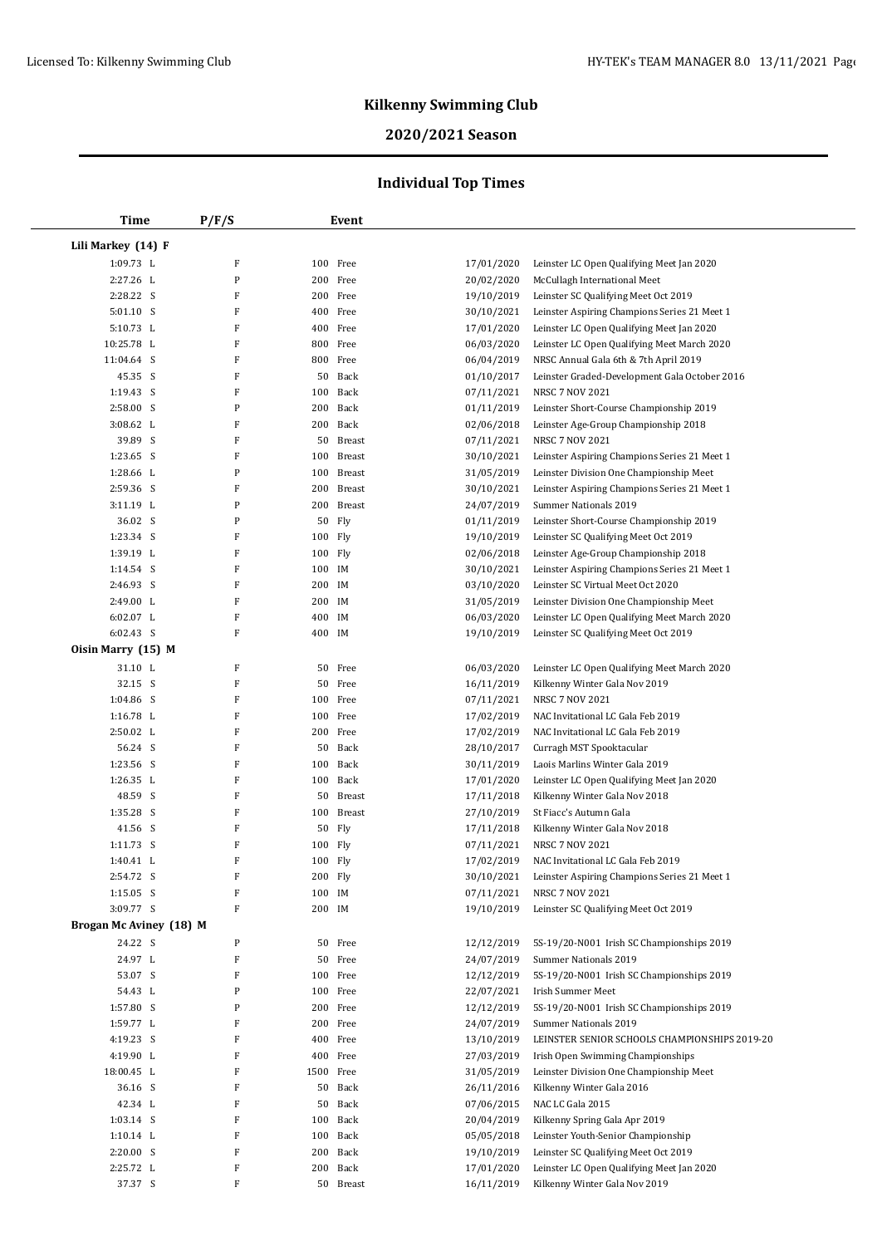# **2020/2021 Season**

| <b>Time</b>              | P/F/S                    |                  | Event                |                          |                                                                    |
|--------------------------|--------------------------|------------------|----------------------|--------------------------|--------------------------------------------------------------------|
| Lili Markey (14) F       |                          |                  |                      |                          |                                                                    |
| 1:09.73 L                | $\rm F$                  |                  | 100 Free             | 17/01/2020               | Leinster LC Open Qualifying Meet Jan 2020                          |
| 2:27.26 L                | $\mathbf{P}$             | 200              | Free                 | 20/02/2020               | McCullagh International Meet                                       |
| 2:28.22 S                | F                        | 200              | Free                 | 19/10/2019               | Leinster SC Qualifying Meet Oct 2019                               |
| 5:01.10 S                | F                        | 400              | Free                 | 30/10/2021               | Leinster Aspiring Champions Series 21 Meet 1                       |
| 5:10.73 L                | F                        | 400              | Free                 | 17/01/2020               | Leinster LC Open Qualifying Meet Jan 2020                          |
| 10:25.78 L               | F                        | 800              | Free                 | 06/03/2020               | Leinster LC Open Qualifying Meet March 2020                        |
| 11:04.64 S               | F                        | 800              | Free                 | 06/04/2019               | NRSC Annual Gala 6th & 7th April 2019                              |
| 45.35 S                  | F                        | 50               | Back                 | 01/10/2017               | Leinster Graded-Development Gala October 2016                      |
| $1:19.43$ S              | F                        | 100              | Back                 | 07/11/2021               | <b>NRSC 7 NOV 2021</b>                                             |
| 2:58.00 S                | $\mathbf{P}$             | 200              | Back                 | 01/11/2019               | Leinster Short-Course Championship 2019                            |
| $3:08.62$ L              | F                        | 200              | Back                 | 02/06/2018               | Leinster Age-Group Championship 2018                               |
| 39.89 S                  | F                        | 50               | Breast               | 07/11/2021               | <b>NRSC 7 NOV 2021</b>                                             |
| 1:23.65 S                | F                        | 100              | <b>Breast</b>        | 30/10/2021               | Leinster Aspiring Champions Series 21 Meet 1                       |
| 1:28.66 L                | $\mathbf{P}$             | 100              | <b>Breast</b>        | 31/05/2019               | Leinster Division One Championship Meet                            |
| 2:59.36 S                | F                        | 200              | Breast               | 30/10/2021               | Leinster Aspiring Champions Series 21 Meet 1                       |
| 3:11.19 L                | $\mathbf{P}$             | 200              | Breast               | 24/07/2019               | Summer Nationals 2019                                              |
| 36.02 S                  | $\mathbf{P}$             | 50               | Fly                  | 01/11/2019               | Leinster Short-Course Championship 2019                            |
| 1:23.34 S                | F                        |                  | 100 Fly              | 19/10/2019               | Leinster SC Qualifying Meet Oct 2019                               |
| 1:39.19 L                | F                        |                  | 100 Fly              | 02/06/2018               | Leinster Age-Group Championship 2018                               |
| 1:14.54 S                | F                        | 100 IM           |                      | 30/10/2021               | Leinster Aspiring Champions Series 21 Meet 1                       |
| 2:46.93 S                | F                        | 200 IM           |                      | 03/10/2020               | Leinster SC Virtual Meet Oct 2020                                  |
| 2:49.00 L                | F                        | 200              | IM                   | 31/05/2019               | Leinster Division One Championship Meet                            |
| 6:02.07 L                | F                        | 400              | IM                   | 06/03/2020               | Leinster LC Open Qualifying Meet March 2020                        |
| $6:02.43$ S              | F                        | 400 IM           |                      | 19/10/2019               | Leinster SC Qualifying Meet Oct 2019                               |
| Oisin Marry (15) M       |                          |                  |                      |                          |                                                                    |
| 31.10 L                  | $\rm F$                  | 50               | Free                 | 06/03/2020               | Leinster LC Open Qualifying Meet March 2020                        |
| 32.15 S                  | $\mathbf F$              | 50               | Free                 | 16/11/2019               | Kilkenny Winter Gala Nov 2019                                      |
| 1:04.86 S                | F                        | 100              | Free                 | 07/11/2021               | <b>NRSC 7 NOV 2021</b>                                             |
| 1:16.78 L                | F                        | 100              | Free                 | 17/02/2019               | NAC Invitational LC Gala Feb 2019                                  |
| 2:50.02 L                | F                        | 200              | Free                 | 17/02/2019               | NAC Invitational LC Gala Feb 2019                                  |
| 56.24 S                  | F                        | 50               | Back                 | 28/10/2017               | Curragh MST Spooktacular                                           |
| 1:23.56 S                | F                        | 100              | Back                 | 30/11/2019               | Laois Marlins Winter Gala 2019                                     |
| 1:26.35 L                | F                        | 100              | Back                 | 17/01/2020               | Leinster LC Open Qualifying Meet Jan 2020                          |
| 48.59 S                  | F                        | 50               | <b>Breast</b>        | 17/11/2018               | Kilkenny Winter Gala Nov 2018                                      |
| 1:35.28 S                | F                        | 100              | Breast               | 27/10/2019               | St Fiacc's Autumn Gala                                             |
| 41.56 S                  | F                        | 50               | Fly                  | 17/11/2018               | Kilkenny Winter Gala Nov 2018                                      |
| 1:11.73 S                | F                        |                  | 100 Fly              | 07/11/2021               | NRSC 7 NOV 2021                                                    |
| 1:40.41 L                | F<br>F                   |                  | 100 Fly              | 17/02/2019               | NAC Invitational LC Gala Feb 2019                                  |
| 2:54.72 S                |                          |                  | 200 Fly              | 30/10/2021               | Leinster Aspiring Champions Series 21 Meet 1                       |
| $1:15.05$ S<br>3:09.77 S | $\rm F$<br>F             | 100 IM<br>200 IM |                      | 07/11/2021<br>19/10/2019 | NRSC 7 NOV 2021<br>Leinster SC Qualifying Meet Oct 2019            |
| Brogan Mc Aviney (18) M  |                          |                  |                      |                          |                                                                    |
|                          |                          |                  |                      |                          |                                                                    |
| 24.22 S                  | ${\bf P}$<br>$\mathbf F$ | 50               | Free                 | 12/12/2019               | 5S-19/20-N001 Irish SC Championships 2019<br>Summer Nationals 2019 |
| 24.97 L                  |                          |                  | 50 Free              | 24/07/2019               |                                                                    |
| 53.07 S<br>54.43 L       | F<br>P                   |                  | 100 Free<br>100 Free | 12/12/2019<br>22/07/2021 | 5S-19/20-N001 Irish SC Championships 2019<br>Irish Summer Meet     |
| 1:57.80 S                | P                        |                  |                      |                          |                                                                    |
| 1:59.77 L                | F                        |                  | 200 Free<br>200 Free | 12/12/2019               | 5S-19/20-N001 Irish SC Championships 2019<br>Summer Nationals 2019 |
| 4:19.23 S                | F                        | 400              | Free                 | 24/07/2019<br>13/10/2019 | LEINSTER SENIOR SCHOOLS CHAMPIONSHIPS 2019-20                      |
| 4:19.90 L                | F                        | 400              | Free                 | 27/03/2019               | Irish Open Swimming Championships                                  |
| 18:00.45 L               | F                        | 1500             | Free                 | 31/05/2019               | Leinster Division One Championship Meet                            |
| 36.16 S                  | F                        |                  | 50 Back              | 26/11/2016               | Kilkenny Winter Gala 2016                                          |
| 42.34 L                  | F                        | 50               | Back                 | 07/06/2015               | NAC LC Gala 2015                                                   |
| $1:03.14$ S              | F                        |                  | 100 Back             | 20/04/2019               | Kilkenny Spring Gala Apr 2019                                      |
| $1:10.14$ L              | F                        | 100              | Back                 | 05/05/2018               | Leinster Youth-Senior Championship                                 |
| 2:20.00 S                | F                        | 200              | Back                 | 19/10/2019               | Leinster SC Qualifying Meet Oct 2019                               |
| 2:25.72 L                | F                        |                  | 200 Back             | 17/01/2020               | Leinster LC Open Qualifying Meet Jan 2020                          |
| 37.37 S                  | F                        |                  | 50 Breast            | 16/11/2019               | Kilkenny Winter Gala Nov 2019                                      |
|                          |                          |                  |                      |                          |                                                                    |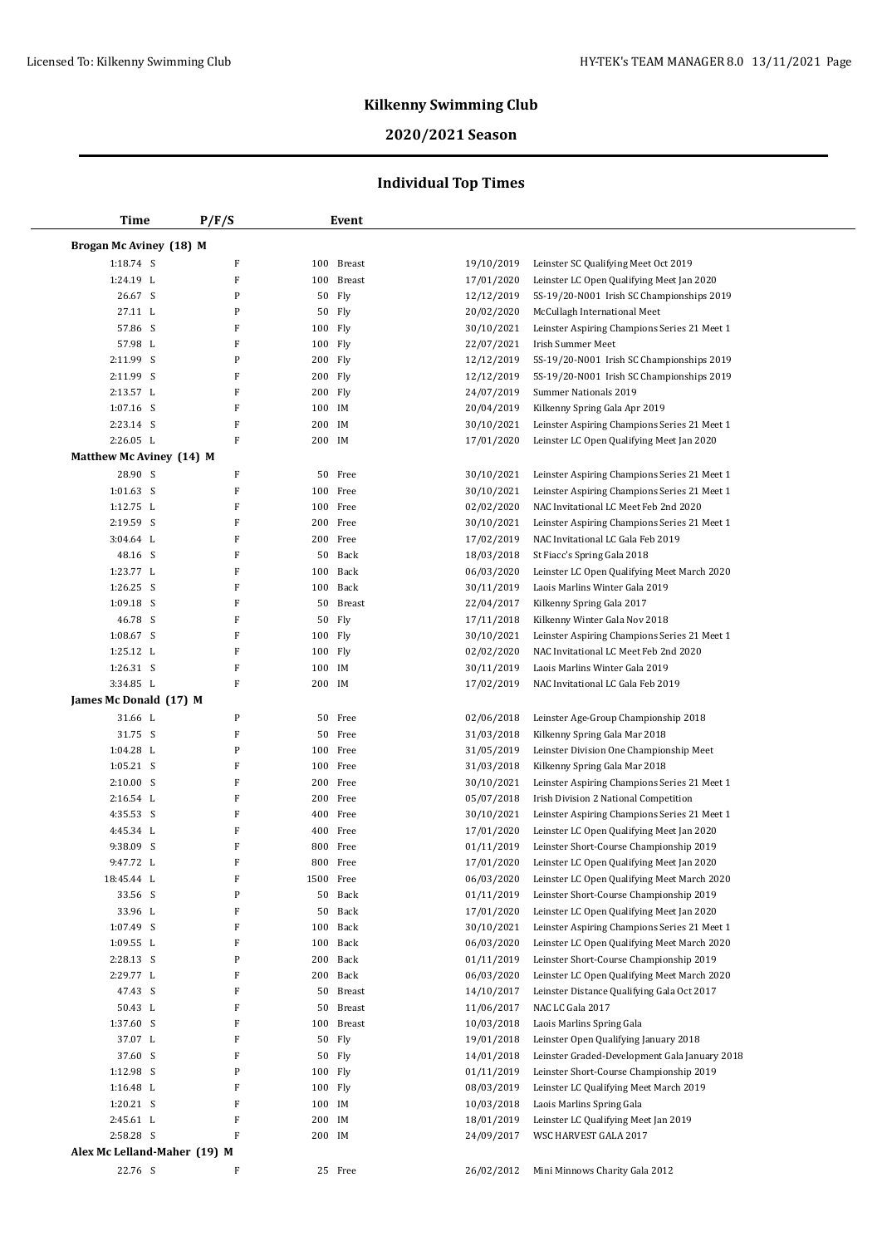# **2020/2021 Season**

| Time                         | P/F/S       | Event         |            |                                                        |
|------------------------------|-------------|---------------|------------|--------------------------------------------------------|
| Brogan Mc Aviney (18) M      |             |               |            |                                                        |
| 1:18.74 S                    | $\mathbf F$ | 100 Breast    | 19/10/2019 | Leinster SC Qualifying Meet Oct 2019                   |
| 1:24.19 L                    | F           | 100 Breast    | 17/01/2020 | Leinster LC Open Qualifying Meet Jan 2020              |
| 26.67 S                      | ${\bf P}$   | 50<br>Fly     | 12/12/2019 | 5S-19/20-N001 Irish SC Championships 2019              |
| 27.11 L                      | ${\bf P}$   | 50 Fly        | 20/02/2020 | McCullagh International Meet                           |
| 57.86 S                      | F           | 100 Fly       | 30/10/2021 | Leinster Aspiring Champions Series 21 Meet 1           |
| 57.98 L                      | F           | 100 Fly       | 22/07/2021 | Irish Summer Meet                                      |
| 2:11.99 S                    | $\mathbf P$ | 200 Fly       | 12/12/2019 | 5S-19/20-N001 Irish SC Championships 2019              |
| 2:11.99 S                    | F           | 200 Fly       | 12/12/2019 | 5S-19/20-N001 Irish SC Championships 2019              |
| 2:13.57 L                    | F           | 200 Fly       | 24/07/2019 | Summer Nationals 2019                                  |
| $1:07.16$ S                  | F           | 100 IM        | 20/04/2019 | Kilkenny Spring Gala Apr 2019                          |
| 2:23.14 S                    | F           | 200 IM        | 30/10/2021 | Leinster Aspiring Champions Series 21 Meet 1           |
| 2:26.05 L                    | F           | 200 IM        | 17/01/2020 | Leinster LC Open Qualifying Meet Jan 2020              |
| Matthew Mc Aviney (14) M     |             |               |            |                                                        |
| 28.90 S                      | F           | 50 Free       | 30/10/2021 | Leinster Aspiring Champions Series 21 Meet 1           |
| $1:01.63$ S                  | $\rm F$     | 100 Free      | 30/10/2021 | Leinster Aspiring Champions Series 21 Meet 1           |
| 1:12.75 L                    | F           | 100<br>Free   | 02/02/2020 | NAC Invitational LC Meet Feb 2nd 2020                  |
| 2:19.59 S                    | F           | 200 Free      | 30/10/2021 | Leinster Aspiring Champions Series 21 Meet 1           |
| 3:04.64 L                    | F           | 200 Free      | 17/02/2019 | NAC Invitational LC Gala Feb 2019                      |
| 48.16 S                      | F           | 50 Back       | 18/03/2018 | St Fiacc's Spring Gala 2018                            |
| 1:23.77 L                    | F           | 100<br>Back   | 06/03/2020 | Leinster LC Open Qualifying Meet March 2020            |
| $1:26.25$ S                  | $\rm F$     | 100<br>Back   | 30/11/2019 | Laois Marlins Winter Gala 2019                         |
| $1:09.18$ S                  | $\rm F$     | 50<br>Breast  | 22/04/2017 | Kilkenny Spring Gala 2017                              |
| 46.78 S                      | F           | 50 Fly        | 17/11/2018 | Kilkenny Winter Gala Nov 2018                          |
| 1:08.67 S                    | F           | 100 Fly       | 30/10/2021 | Leinster Aspiring Champions Series 21 Meet 1           |
| 1:25.12 L                    | F           | 100 Fly       | 02/02/2020 | NAC Invitational LC Meet Feb 2nd 2020                  |
| 1:26.31 S                    | $\rm F$     | 100 IM        | 30/11/2019 | Laois Marlins Winter Gala 2019                         |
| 3:34.85 L                    | F           | 200 IM        | 17/02/2019 | NAC Invitational LC Gala Feb 2019                      |
| James Mc Donald (17) M       |             |               |            |                                                        |
| 31.66 L                      | ${\bf P}$   | 50 Free       | 02/06/2018 | Leinster Age-Group Championship 2018                   |
| 31.75 S                      | F           | 50 Free       | 31/03/2018 | Kilkenny Spring Gala Mar 2018                          |
| $1:04.28$ L                  | $\mathbf P$ | 100 Free      | 31/05/2019 | Leinster Division One Championship Meet                |
| 1:05.21 S                    | F           | 100 Free      | 31/03/2018 | Kilkenny Spring Gala Mar 2018                          |
| 2:10.00 S                    | $\rm F$     | 200 Free      | 30/10/2021 | Leinster Aspiring Champions Series 21 Meet 1           |
| 2:16.54 L                    | F           | 200 Free      | 05/07/2018 | Irish Division 2 National Competition                  |
| 4:35.53 S                    | F           | 400 Free      | 30/10/2021 | Leinster Aspiring Champions Series 21 Meet 1           |
| 4:45.34 L                    | F           | 400 Free      | 17/01/2020 | Leinster LC Open Qualifying Meet Jan 2020              |
| 9:38.09 S                    | F           | 800<br>Free   | 01/11/2019 | Leinster Short-Course Championship 2019                |
| 9:47.72 L                    | F           | 800 Free      | 17/01/2020 | Leinster LC Open Qualifying Meet Jan 2020              |
| 18:45.44 L                   | F           | 1500 Free     |            | 06/03/2020 Leinster LC Open Qualifying Meet March 2020 |
| 33.56 S                      | P           | 50 Back       | 01/11/2019 | Leinster Short-Course Championship 2019                |
| 33.96 L                      | F           | 50 Back       | 17/01/2020 | Leinster LC Open Qualifying Meet Jan 2020              |
| 1:07.49 S                    | F           | 100 Back      | 30/10/2021 | Leinster Aspiring Champions Series 21 Meet 1           |
| 1:09.55 L                    | F           | 100 Back      | 06/03/2020 | Leinster LC Open Qualifying Meet March 2020            |
| 2:28.13 S                    | P           | 200 Back      | 01/11/2019 | Leinster Short-Course Championship 2019                |
| 2:29.77 L                    | F           | 200 Back      | 06/03/2020 | Leinster LC Open Qualifying Meet March 2020            |
| 47.43 S                      | F           | 50 Breast     | 14/10/2017 | Leinster Distance Qualifying Gala Oct 2017             |
| 50.43 L                      | F           | 50<br>Breast  | 11/06/2017 | NAC LC Gala 2017                                       |
| 1:37.60 S                    | F           | 100<br>Breast | 10/03/2018 | Laois Marlins Spring Gala                              |
| 37.07 L                      | F           | 50 Fly        | 19/01/2018 | Leinster Open Qualifying January 2018                  |
| 37.60 S                      | F           | 50 Fly        | 14/01/2018 | Leinster Graded-Development Gala January 2018          |
| 1:12.98 S                    | P           | 100 Fly       | 01/11/2019 | Leinster Short-Course Championship 2019                |
| 1:16.48 L                    | F           | 100 Fly       | 08/03/2019 | Leinster LC Qualifying Meet March 2019                 |
| 1:20.21 S                    | F           | 100 IM        | 10/03/2018 | Laois Marlins Spring Gala                              |
| 2:45.61 L                    | F           | 200 IM        | 18/01/2019 | Leinster LC Qualifying Meet Jan 2019                   |
|                              | F           | 200 IM        | 24/09/2017 | WSC HARVEST GALA 2017                                  |
| 2:58.28 S                    |             |               |            |                                                        |
| Alex Mc Lelland-Maher (19) M |             |               |            |                                                        |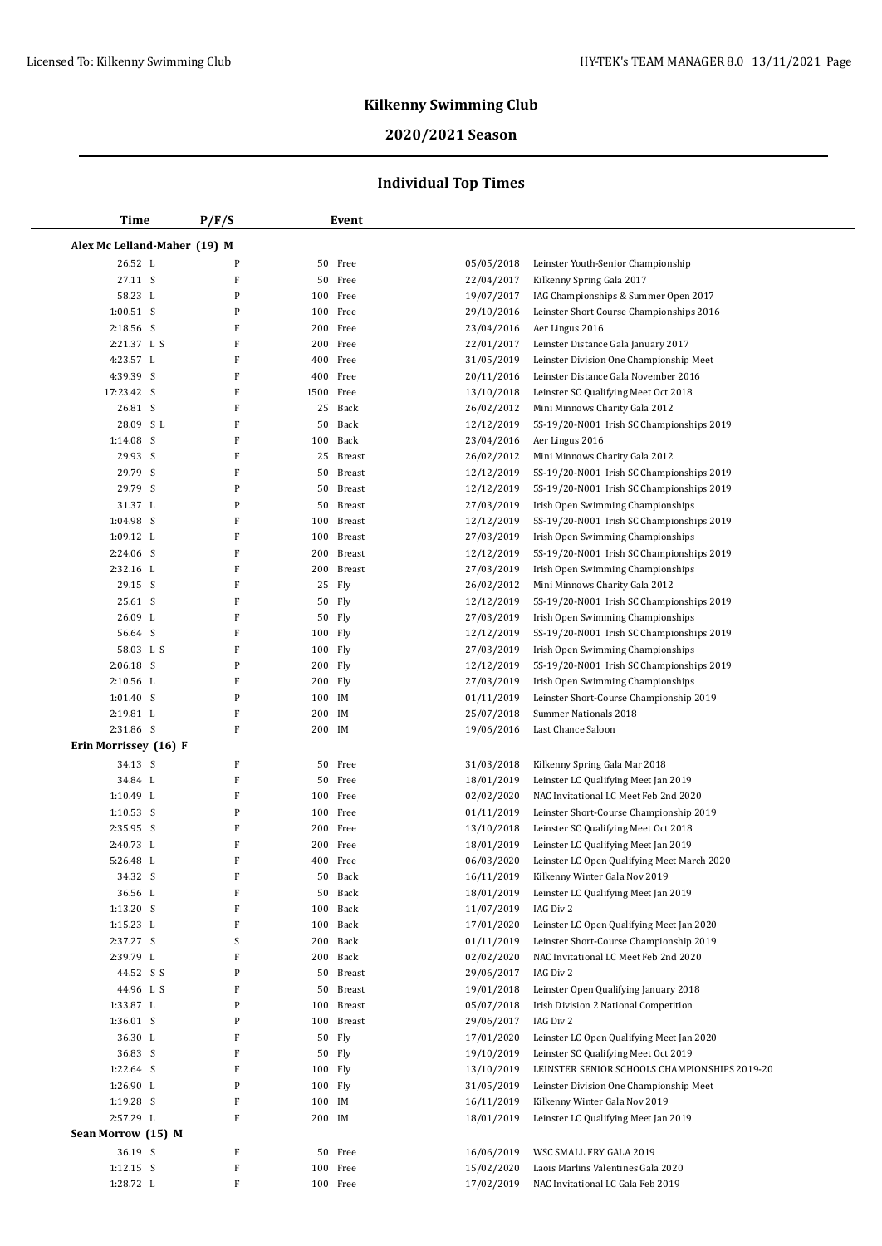# **2020/2021 Season**

| <b>Time</b>                  | P/F/S        |                   | Event         |                          |                                                   |
|------------------------------|--------------|-------------------|---------------|--------------------------|---------------------------------------------------|
| Alex Mc Lelland-Maher (19) M |              |                   |               |                          |                                                   |
| 26.52 L                      | P            |                   | 50 Free       | 05/05/2018               | Leinster Youth-Senior Championship                |
| 27.11 S                      | F            |                   | 50 Free       | 22/04/2017               | Kilkenny Spring Gala 2017                         |
| 58.23 L                      | P            | 100               | Free          | 19/07/2017               | IAG Championships & Summer Open 2017              |
| $1:00.51$ S                  | P            | 100               | Free          | 29/10/2016               | Leinster Short Course Championships 2016          |
| 2:18.56 S                    | F            | 200               | Free          | 23/04/2016               | Aer Lingus 2016                                   |
| 2:21.37 L S                  | F            | 200               | Free          | 22/01/2017               | Leinster Distance Gala January 2017               |
| 4:23.57 L                    | F            | 400               | Free          | 31/05/2019               | Leinster Division One Championship Meet           |
| 4:39.39 S                    | F            | 400               | Free          | 20/11/2016               | Leinster Distance Gala November 2016              |
| 17:23.42 S                   | $\mathbf F$  | 1500              | Free          | 13/10/2018               | Leinster SC Qualifying Meet Oct 2018              |
| 26.81 S                      | F            | 25                | Back          | 26/02/2012               | Mini Minnows Charity Gala 2012                    |
| 28.09 SL                     | F            | 50                | Back          | 12/12/2019               | 5S-19/20-N001 Irish SC Championships 2019         |
| 1:14.08 S                    | F            | 100               | Back          | 23/04/2016               | Aer Lingus 2016                                   |
| 29.93 S                      | F            | 25                | Breast        | 26/02/2012               | Mini Minnows Charity Gala 2012                    |
| 29.79 S                      | $\mathbf F$  | 50                | <b>Breast</b> | 12/12/2019               | 5S-19/20-N001 Irish SC Championships 2019         |
| 29.79 S                      | P            | 50                | <b>Breast</b> | 12/12/2019               | 5S-19/20-N001 Irish SC Championships 2019         |
| 31.37 L                      | P            | 50                | <b>Breast</b> | 27/03/2019               | Irish Open Swimming Championships                 |
| 1:04.98 S                    | F            | 100               | <b>Breast</b> | 12/12/2019               | 5S-19/20-N001 Irish SC Championships 2019         |
| $1:09.12$ L                  | F            | 100               | <b>Breast</b> | 27/03/2019               | Irish Open Swimming Championships                 |
| 2:24.06 S                    | F            | 200               | <b>Breast</b> | 12/12/2019               | 5S-19/20-N001 Irish SC Championships 2019         |
| 2:32.16 L                    | F            | 200               | <b>Breast</b> | 27/03/2019               | Irish Open Swimming Championships                 |
| 29.15 S                      | F            | 25                | Fly           | 26/02/2012               | Mini Minnows Charity Gala 2012                    |
| 25.61 S                      | $\, {\bf F}$ |                   | 50 Fly        | 12/12/2019               | 5S-19/20-N001 Irish SC Championships 2019         |
| 26.09 L                      | F            |                   | 50 Fly        | 27/03/2019               | Irish Open Swimming Championships                 |
| 56.64 S                      | F            | 100 Fly           |               | 12/12/2019               | 5S-19/20-N001 Irish SC Championships 2019         |
| 58.03 L S                    | ${\bf F}$    | 100 Fly           |               | 27/03/2019               | Irish Open Swimming Championships                 |
| $2:06.18$ S                  | P            | 200 Fly           |               | 12/12/2019               | 5S-19/20-N001 Irish SC Championships 2019         |
| 2:10.56 L                    | F            |                   |               | 27/03/2019               | Irish Open Swimming Championships                 |
| 1:01.40 S                    | P            | 200 Fly<br>100 IM |               | 01/11/2019               | Leinster Short-Course Championship 2019           |
| 2:19.81 L                    | F            | 200 IM            |               | 25/07/2018               | Summer Nationals 2018                             |
| 2:31.86 S                    | $\mathbf F$  | 200 IM            |               | 19/06/2016               | Last Chance Saloon                                |
| Erin Morrissey (16) F        |              |                   |               |                          |                                                   |
| 34.13 S                      | F            | 50                | Free          | 31/03/2018               | Kilkenny Spring Gala Mar 2018                     |
| 34.84 L                      | F            | 50                | Free          | 18/01/2019               | Leinster LC Qualifying Meet Jan 2019              |
| 1:10.49 L                    | F            |                   | 100 Free      | 02/02/2020               | NAC Invitational LC Meet Feb 2nd 2020             |
| $1:10.53$ S                  | P            | 100               | Free          | 01/11/2019               | Leinster Short-Course Championship 2019           |
| 2:35.95 S                    | F            | 200               | Free          | 13/10/2018               | Leinster SC Qualifying Meet Oct 2018              |
| 2:40.73 L                    | F            | 200               | Free          | 18/01/2019               | Leinster LC Qualifying Meet Jan 2019              |
| 5:26.48 L                    | F            |                   | 400 Free      | 06/03/2020               | Leinster LC Open Qualifying Meet March 2020       |
| 34.32 S                      | F            |                   | 50 Back       | 16/11/2019               | Kilkenny Winter Gala Nov 2019                     |
| 36.56 L                      | F            |                   | 50 Back       |                          |                                                   |
| 1:13.20 S                    | F            | 100               | Back          | 18/01/2019<br>11/07/2019 | Leinster LC Qualifying Meet Jan 2019<br>IAG Div 2 |
| 1:15.23 L                    | F            | 100               | Back          | 17/01/2020               | Leinster LC Open Qualifying Meet Jan 2020         |
| 2:37.27 S                    | S            |                   |               | 01/11/2019               |                                                   |
|                              |              | 200               | Back          |                          | Leinster Short-Course Championship 2019           |
| 2:39.79 L                    | F            |                   | 200 Back      | 02/02/2020               | NAC Invitational LC Meet Feb 2nd 2020             |
| 44.52 S S                    | P            | 50                | Breast        | 29/06/2017               | IAG Div 2                                         |
| 44.96 L S                    | F            | 50                | Breast        | 19/01/2018               | Leinster Open Qualifying January 2018             |
| 1:33.87 L                    | ${\bf P}$    | 100               | Breast        | 05/07/2018               | Irish Division 2 National Competition             |
| 1:36.01 S                    | P            | 100               | Breast        | 29/06/2017               | IAG Div 2                                         |
| 36.30 L                      | F            | 50                | Fly           | 17/01/2020               | Leinster LC Open Qualifying Meet Jan 2020         |
| 36.83 S                      | F            |                   | 50 Fly        | 19/10/2019               | Leinster SC Qualifying Meet Oct 2019              |
| 1:22.64 S                    | F            | 100 Fly           |               | 13/10/2019               | LEINSTER SENIOR SCHOOLS CHAMPIONSHIPS 2019-20     |
| 1:26.90 L                    | ${\bf P}$    | 100 Fly           |               | 31/05/2019               | Leinster Division One Championship Meet           |
| 1:19.28 S                    | F            | 100 IM            |               | 16/11/2019               | Kilkenny Winter Gala Nov 2019                     |
| 2:57.29 L                    | F            | 200 IM            |               | 18/01/2019               | Leinster LC Qualifying Meet Jan 2019              |
| Sean Morrow (15) M           |              |                   |               |                          |                                                   |
| 36.19 S                      | F            |                   | 50 Free       | 16/06/2019               | WSC SMALL FRY GALA 2019                           |
| 1:12.15 S                    | F            |                   | 100 Free      | 15/02/2020               | Laois Marlins Valentines Gala 2020                |
| 1:28.72 L                    | F            |                   | 100 Free      | 17/02/2019               | NAC Invitational LC Gala Feb 2019                 |
|                              |              |                   |               |                          |                                                   |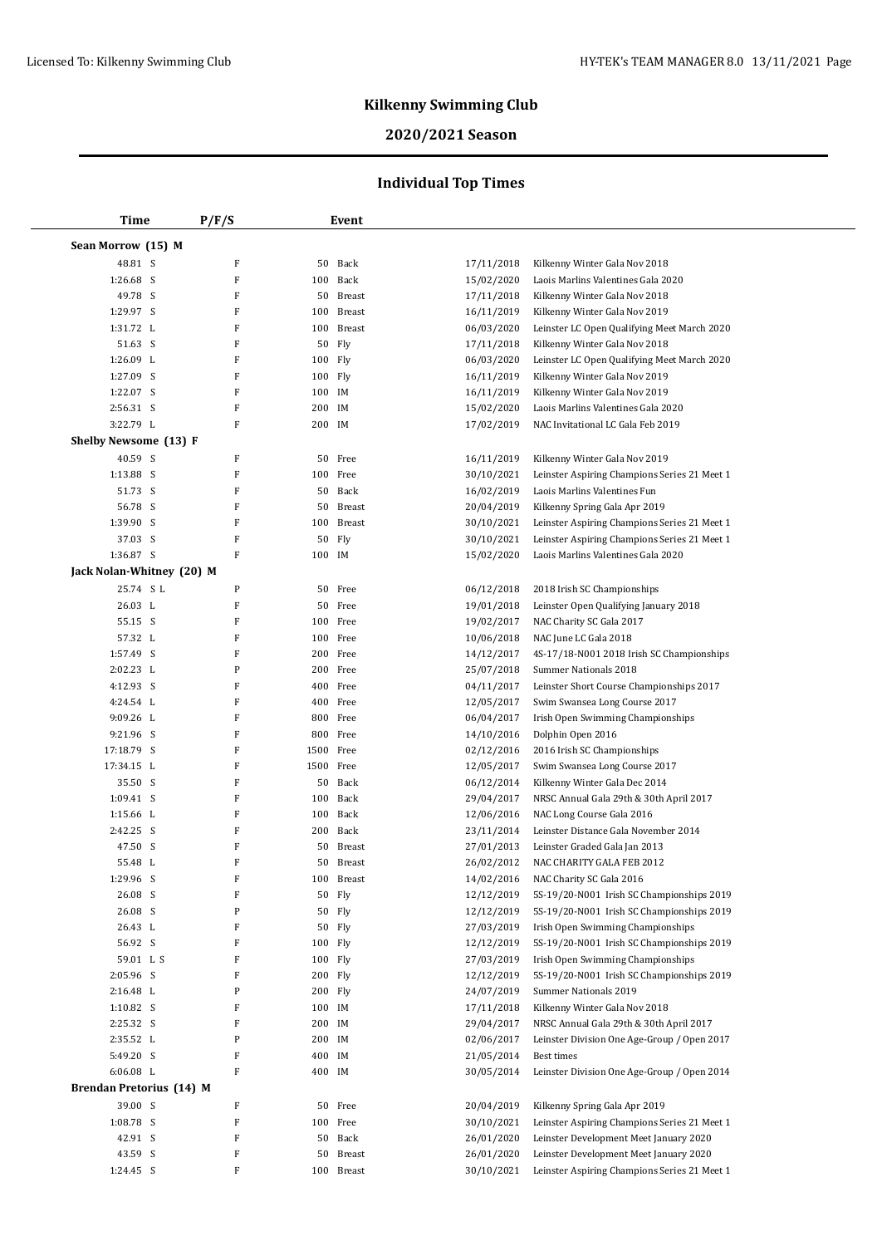# **2020/2021 Season**

| Time                            | P/F/S            |           | Event         |            |                                              |
|---------------------------------|------------------|-----------|---------------|------------|----------------------------------------------|
| Sean Morrow (15) M              |                  |           |               |            |                                              |
| 48.81 S                         | F                |           | 50 Back       | 17/11/2018 | Kilkenny Winter Gala Nov 2018                |
| 1:26.68 S                       | F                |           | 100 Back      | 15/02/2020 | Laois Marlins Valentines Gala 2020           |
| 49.78 S                         | F                | 50        | Breast        | 17/11/2018 | Kilkenny Winter Gala Nov 2018                |
| 1:29.97 S                       | $\rm F$          | 100       | Breast        | 16/11/2019 | Kilkenny Winter Gala Nov 2019                |
| 1:31.72 L                       | F                |           | 100 Breast    | 06/03/2020 | Leinster LC Open Qualifying Meet March 2020  |
| 51.63 S                         | F                | 50        | Fly           | 17/11/2018 | Kilkenny Winter Gala Nov 2018                |
| 1:26.09 L                       | F                | 100 Fly   |               | 06/03/2020 | Leinster LC Open Qualifying Meet March 2020  |
| 1:27.09 S                       | F                | 100 Fly   |               | 16/11/2019 | Kilkenny Winter Gala Nov 2019                |
| 1:22.07 S                       | $\mathbf F$      | 100 IM    |               | 16/11/2019 | Kilkenny Winter Gala Nov 2019                |
| 2:56.31 S                       | F                | 200 IM    |               | 15/02/2020 | Laois Marlins Valentines Gala 2020           |
| 3:22.79 L                       | F                | 200 IM    |               | 17/02/2019 | NAC Invitational LC Gala Feb 2019            |
| Shelby Newsome (13) F           |                  |           |               |            |                                              |
| 40.59 S                         | F                |           | 50 Free       | 16/11/2019 | Kilkenny Winter Gala Nov 2019                |
| 1:13.88 S                       | $\mathbf F$      |           | 100 Free      | 30/10/2021 | Leinster Aspiring Champions Series 21 Meet 1 |
| 51.73 S                         | F                | 50        | Back          | 16/02/2019 | Laois Marlins Valentines Fun                 |
| 56.78 S                         | F                | 50        | <b>Breast</b> | 20/04/2019 | Kilkenny Spring Gala Apr 2019                |
| 1:39.90 S                       | F                | 100       | Breast        | 30/10/2021 | Leinster Aspiring Champions Series 21 Meet 1 |
| 37.03 S                         | F                | 50        | Fly           | 30/10/2021 | Leinster Aspiring Champions Series 21 Meet 1 |
| 1:36.87 S                       | F                | 100 IM    |               | 15/02/2020 | Laois Marlins Valentines Gala 2020           |
| Jack Nolan-Whitney (20) M       |                  |           |               |            |                                              |
|                                 |                  |           |               |            |                                              |
| 25.74 SL                        | ${\bf P}$        |           | 50 Free       | 06/12/2018 | 2018 Irish SC Championships                  |
| 26.03 L                         | $\mathbf F$      | 50        | Free          | 19/01/2018 | Leinster Open Qualifying January 2018        |
| 55.15 S                         | F                |           | 100 Free      | 19/02/2017 | NAC Charity SC Gala 2017                     |
| 57.32 L                         | F<br>F           |           | 100 Free      | 10/06/2018 | NAC June LC Gala 2018                        |
| 1:57.49 S                       | $\mathbf P$      |           | 200 Free      | 14/12/2017 | 4S-17/18-N001 2018 Irish SC Championships    |
| 2:02.23 L<br>4:12.93 S          | $\mathbf F$      | 200       | Free          | 25/07/2018 | Summer Nationals 2018                        |
|                                 |                  | 400       | Free          | 04/11/2017 | Leinster Short Course Championships 2017     |
| 4:24.54 L                       | F                | 400       | Free          | 12/05/2017 | Swim Swansea Long Course 2017                |
| 9:09.26 L                       | F                | 800       | Free          | 06/04/2017 | Irish Open Swimming Championships            |
| 9:21.96 S                       | F                | 800       | Free          | 14/10/2016 | Dolphin Open 2016                            |
| 17:18.79 S                      | F                | 1500 Free |               | 02/12/2016 | 2016 Irish SC Championships                  |
| 17:34.15 L                      | F                | 1500 Free |               | 12/05/2017 | Swim Swansea Long Course 2017                |
| 35.50 S                         | F                | 50        | Back          | 06/12/2014 | Kilkenny Winter Gala Dec 2014                |
| 1:09.41 S<br>1:15.66 L          | F                | 100       | Back          | 29/04/2017 | NRSC Annual Gala 29th & 30th April 2017      |
|                                 | F                | 100       | Back          | 12/06/2016 | NAC Long Course Gala 2016                    |
| 2:42.25 S                       | F                |           | 200 Back      | 23/11/2014 | Leinster Distance Gala November 2014         |
| 47.50 S                         | F                | 50        | Breast        | 27/01/2013 | Leinster Graded Gala Jan 2013                |
| 55.48 L                         | $\rm F$<br>F     |           | 50 Breast     | 26/02/2012 | NAC CHARITY GALA FEB 2012                    |
| 1:29.96 S                       |                  |           | 100 Breast    |            | 14/02/2016 NAC Charity SC Gala 2016          |
| 26.08 S<br>26.08 S              | F<br>$\mathbf P$ |           | 50 Fly        | 12/12/2019 | 5S-19/20-N001 Irish SC Championships 2019    |
|                                 |                  |           | 50 Fly        | 12/12/2019 | 5S-19/20-N001 Irish SC Championships 2019    |
| 26.43 L                         | F                |           | 50 Fly        | 27/03/2019 | Irish Open Swimming Championships            |
| 56.92 S                         | F                | 100 Fly   |               | 12/12/2019 | 5S-19/20-N001 Irish SC Championships 2019    |
| 59.01 LS                        | F                | 100 Fly   |               | 27/03/2019 | Irish Open Swimming Championships            |
| $2:05.96$ S                     | F                | 200 Fly   |               | 12/12/2019 | 5S-19/20-N001 Irish SC Championships 2019    |
| 2:16.48 L                       | P                | 200 Fly   |               | 24/07/2019 | Summer Nationals 2019                        |
| 1:10.82 S                       | F                | 100 IM    |               | 17/11/2018 | Kilkenny Winter Gala Nov 2018                |
| 2:25.32 S                       | F                | 200 IM    |               | 29/04/2017 | NRSC Annual Gala 29th & 30th April 2017      |
| 2:35.52 L                       | $\mathbf P$      | 200 IM    |               | 02/06/2017 | Leinster Division One Age-Group / Open 2017  |
| 5:49.20 S                       | F                | 400 IM    |               | 21/05/2014 | Best times                                   |
| $6:06.08$ L                     | F                | 400 IM    |               | 30/05/2014 | Leinster Division One Age-Group / Open 2014  |
| <b>Brendan Pretorius (14) M</b> |                  |           |               |            |                                              |
| 39.00 S                         | F                |           | 50 Free       | 20/04/2019 | Kilkenny Spring Gala Apr 2019                |
| 1:08.78 S                       | $\mathbf F$      |           | 100 Free      | 30/10/2021 | Leinster Aspiring Champions Series 21 Meet 1 |
| 42.91 S                         | F                |           | 50 Back       | 26/01/2020 | Leinster Development Meet January 2020       |
| 43.59 S                         | F                |           | 50 Breast     | 26/01/2020 | Leinster Development Meet January 2020       |
| 1:24.45 S                       | F                |           | 100 Breast    | 30/10/2021 | Leinster Aspiring Champions Series 21 Meet 1 |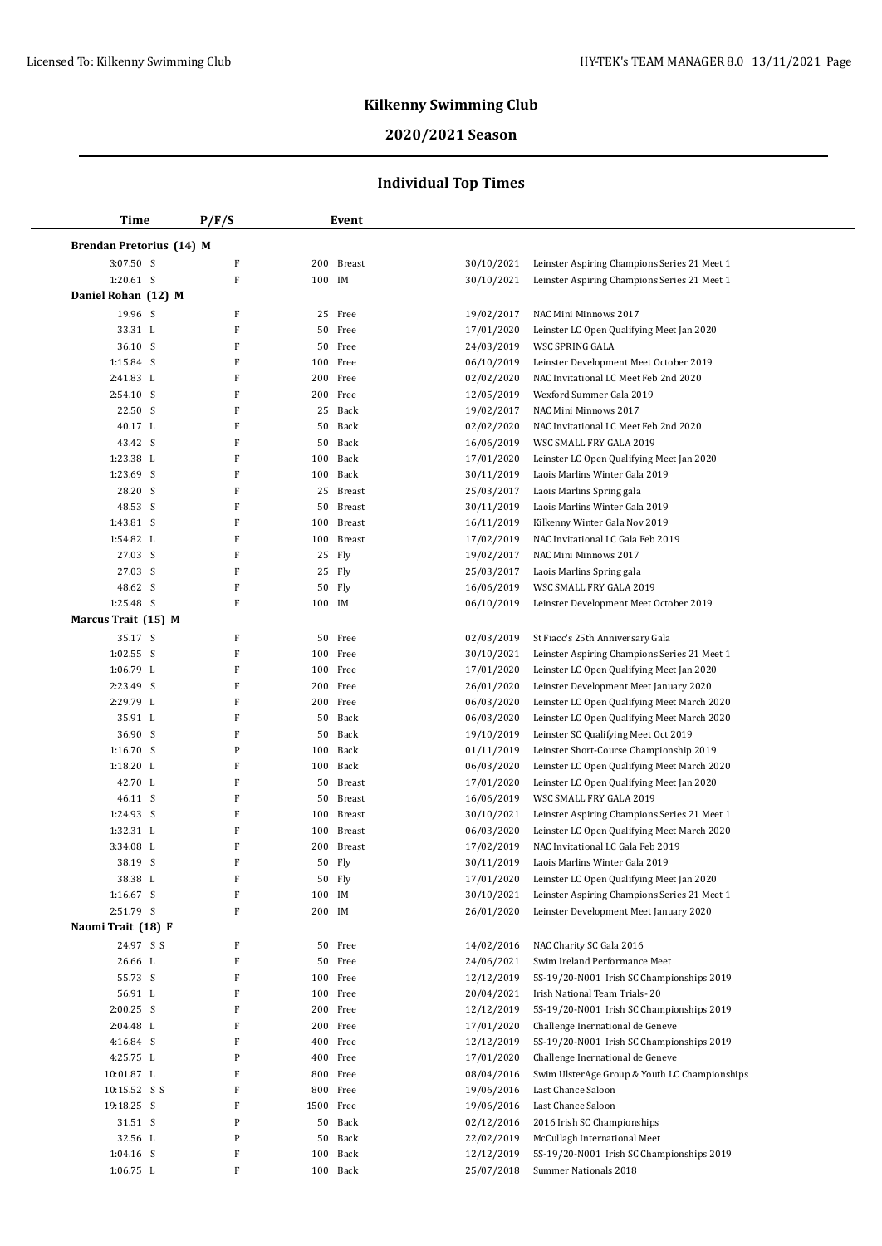# **2020/2021 Season**

| <b>Time</b>                     | P/F/S          |        | Event                |                          |                                                                                   |
|---------------------------------|----------------|--------|----------------------|--------------------------|-----------------------------------------------------------------------------------|
| <b>Brendan Pretorius (14) M</b> |                |        |                      |                          |                                                                                   |
| $3:07.50$ S                     | $\mathbf F$    |        | 200 Breast           | 30/10/2021               | Leinster Aspiring Champions Series 21 Meet 1                                      |
| $1:20.61$ S                     | F              | 100 IM |                      | 30/10/2021               | Leinster Aspiring Champions Series 21 Meet 1                                      |
| Daniel Rohan (12) M             |                |        |                      |                          |                                                                                   |
| 19.96 S                         | F              |        | 25 Free              | 19/02/2017               | NAC Mini Minnows 2017                                                             |
| 33.31 L                         | ${\bf F}$      |        | 50 Free              | 17/01/2020               | Leinster LC Open Qualifying Meet Jan 2020                                         |
| 36.10 S                         | F              | 50     | Free                 | 24/03/2019               | WSC SPRING GALA                                                                   |
| 1:15.84 S                       | F              |        | 100 Free             | 06/10/2019               | Leinster Development Meet October 2019                                            |
| 2:41.83 L                       | F              |        | 200 Free             | 02/02/2020               | NAC Invitational LC Meet Feb 2nd 2020                                             |
| 2:54.10 S                       | F              |        | 200 Free             | 12/05/2019               | Wexford Summer Gala 2019                                                          |
| 22.50 S                         | F              | 25     | Back                 | 19/02/2017               | NAC Mini Minnows 2017                                                             |
| 40.17 L                         | F              | 50     | Back                 | 02/02/2020               | NAC Invitational LC Meet Feb 2nd 2020                                             |
| 43.42 S                         | F              | 50     | Back                 | 16/06/2019               | WSC SMALL FRY GALA 2019                                                           |
| 1:23.38 L                       | F              | 100    | Back                 | 17/01/2020               | Leinster LC Open Qualifying Meet Jan 2020                                         |
| 1:23.69 S                       | F              | 100    | Back                 | 30/11/2019               | Laois Marlins Winter Gala 2019                                                    |
| 28.20 S                         | F              | 25     | Breast               | 25/03/2017               | Laois Marlins Spring gala                                                         |
| 48.53 S                         | F              | 50     | <b>Breast</b>        | 30/11/2019               | Laois Marlins Winter Gala 2019                                                    |
| 1:43.81 S                       | F              | 100    | <b>Breast</b>        | 16/11/2019               | Kilkenny Winter Gala Nov 2019                                                     |
| 1:54.82 L                       | F              | 100    | Breast               | 17/02/2019               | NAC Invitational LC Gala Feb 2019                                                 |
| 27.03 S                         | F              | 25     | Fly                  | 19/02/2017               | NAC Mini Minnows 2017                                                             |
| 27.03 S<br>48.62 S              | F<br>${\bf F}$ | 25     | Fly<br>50 Fly        | 25/03/2017               | Laois Marlins Spring gala<br>WSC SMALL FRY GALA 2019                              |
| 1:25.48 S                       | F              | 100 IM |                      | 16/06/2019<br>06/10/2019 | Leinster Development Meet October 2019                                            |
| Marcus Trait (15) M             |                |        |                      |                          |                                                                                   |
| 35.17 S                         | F              |        | 50 Free              | 02/03/2019               |                                                                                   |
| $1:02.55$ S                     | F              |        | 100 Free             | 30/10/2021               | St Fiacc's 25th Anniversary Gala<br>Leinster Aspiring Champions Series 21 Meet 1  |
| 1:06.79 L                       | F              |        | 100 Free             | 17/01/2020               | Leinster LC Open Qualifying Meet Jan 2020                                         |
| 2:23.49 S                       | F              | 200    | Free                 | 26/01/2020               | Leinster Development Meet January 2020                                            |
| 2:29.79 L                       | F              |        | 200 Free             | 06/03/2020               | Leinster LC Open Qualifying Meet March 2020                                       |
| 35.91 L                         | F              | 50     | Back                 | 06/03/2020               | Leinster LC Open Qualifying Meet March 2020                                       |
| 36.90 S                         | F              |        | 50 Back              | 19/10/2019               | Leinster SC Qualifying Meet Oct 2019                                              |
| 1:16.70 S                       | P              | 100    | Back                 | 01/11/2019               | Leinster Short-Course Championship 2019                                           |
| 1:18.20 L                       | F              | 100    | Back                 | 06/03/2020               | Leinster LC Open Qualifying Meet March 2020                                       |
| 42.70 L                         | F              | 50     | <b>Breast</b>        | 17/01/2020               | Leinster LC Open Qualifying Meet Jan 2020                                         |
| 46.11 S                         | F              | 50     | <b>Breast</b>        | 16/06/2019               | WSC SMALL FRY GALA 2019                                                           |
| 1:24.93 S                       | F              | 100    | Breast               | 30/10/2021               | Leinster Aspiring Champions Series 21 Meet 1                                      |
| 1:32.31 L                       | F              | 100    | Breast               | 06/03/2020               | Leinster LC Open Qualifying Meet March 2020                                       |
| 3:34.08 L                       | F              | 200    | Breast               | 17/02/2019               | NAC Invitational LC Gala Feb 2019                                                 |
| 38.19 S                         | F              |        | 50 Fly               | 30/11/2019               | Laois Marlins Winter Gala 2019                                                    |
| 38.38 L                         | F              |        | 50 Fly               |                          | 17/01/2020 Leinster LC Open Qualifying Meet Jan 2020                              |
| $1:16.67$ S                     | $\rm F$        | 100 IM |                      |                          | 30/10/2021 Leinster Aspiring Champions Series 21 Meet 1                           |
| 2:51.79 S                       | F              | 200 IM |                      | 26/01/2020               | Leinster Development Meet January 2020                                            |
| Naomi Trait (18) F              |                |        |                      |                          |                                                                                   |
| 24.97 S S                       | F              |        | 50 Free              | 14/02/2016               | NAC Charity SC Gala 2016                                                          |
| 26.66 L                         | F              |        | 50 Free              | 24/06/2021               | Swim Ireland Performance Meet                                                     |
| 55.73 S                         | F              |        | 100 Free             | 12/12/2019               | 5S-19/20-N001 Irish SC Championships 2019                                         |
| 56.91 L                         | F              |        | 100 Free             | 20/04/2021               | Irish National Team Trials-20                                                     |
| $2:00.25$ S                     | F              |        | 200 Free             | 12/12/2019               | 5S-19/20-N001 Irish SC Championships 2019                                         |
| 2:04.48 L                       | F              |        | 200 Free             | 17/01/2020               | Challenge Inernational de Geneve                                                  |
| 4:16.84 S                       | F<br>P         |        | 400 Free             | 12/12/2019               | 5S-19/20-N001 Irish SC Championships 2019                                         |
| 4:25.75 L                       | F              |        | 400 Free             | 17/01/2020<br>08/04/2016 | Challenge Inernational de Geneve<br>Swim UlsterAge Group & Youth LC Championships |
| 10:01.87 L<br>10:15.52 S S      | F              |        | 800 Free<br>800 Free | 19/06/2016               | Last Chance Saloon                                                                |
| 19:18.25 S                      | F              |        | 1500 Free            | 19/06/2016               | Last Chance Saloon                                                                |
| 31.51 S                         | P              |        | 50 Back              | 02/12/2016               | 2016 Irish SC Championships                                                       |
| 32.56 L                         | P              | 50     | Back                 | 22/02/2019               | McCullagh International Meet                                                      |
| $1:04.16$ S                     | F              | 100    | Back                 | 12/12/2019               | 5S-19/20-N001 Irish SC Championships 2019                                         |
| 1:06.75 L                       | F              |        | 100 Back             | 25/07/2018               | Summer Nationals 2018                                                             |
|                                 |                |        |                      |                          |                                                                                   |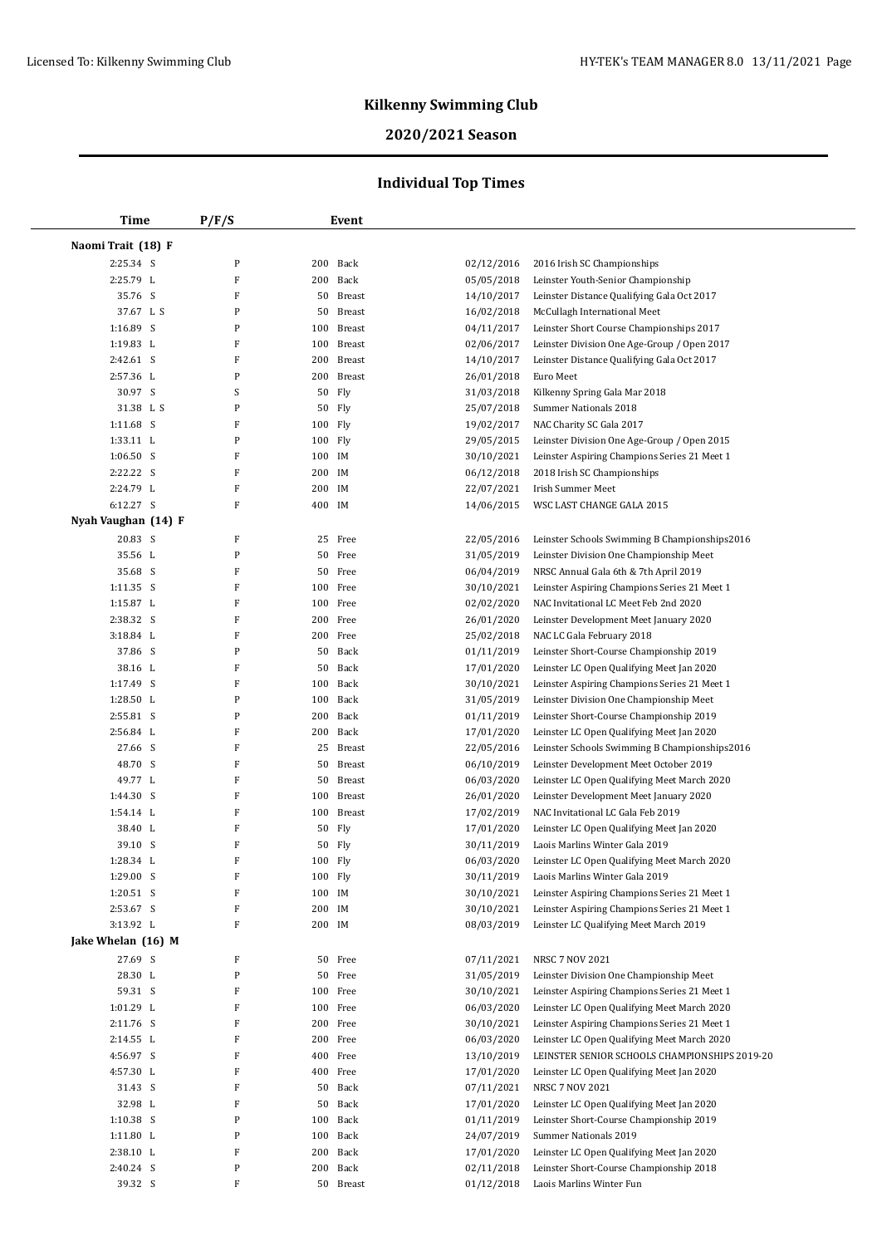$\frac{1}{2}$ 

## **Kilkenny Swimming Club**

# **2020/2021 Season**

| <b>Time</b>         | P/F/S        | Event                |            |                                               |
|---------------------|--------------|----------------------|------------|-----------------------------------------------|
| Naomi Trait (18) F  |              |                      |            |                                               |
| 2:25.34 S           | ${\bf P}$    | Back<br>200          | 02/12/2016 | 2016 Irish SC Championships                   |
| 2:25.79 L           | $\rm F$      | Back<br>200          | 05/05/2018 | Leinster Youth-Senior Championship            |
| 35.76 S             | F            | 50<br><b>Breast</b>  | 14/10/2017 | Leinster Distance Qualifying Gala Oct 2017    |
| 37.67 L S           | ${\bf P}$    | 50<br><b>Breast</b>  | 16/02/2018 | McCullagh International Meet                  |
| 1:16.89 S           | ${\bf P}$    | 100<br><b>Breast</b> | 04/11/2017 | Leinster Short Course Championships 2017      |
| 1:19.83 L           | $\rm F$      | 100<br><b>Breast</b> | 02/06/2017 | Leinster Division One Age-Group / Open 2017   |
| 2:42.61 S           | F            | 200<br><b>Breast</b> | 14/10/2017 | Leinster Distance Qualifying Gala Oct 2017    |
| 2:57.36 L           | ${\bf P}$    | 200<br><b>Breast</b> | 26/01/2018 | Euro Meet                                     |
| 30.97 S             | S            | 50<br>Fly            | 31/03/2018 | Kilkenny Spring Gala Mar 2018                 |
| 31.38 L S           | $\mathbf{P}$ | 50<br>Fly            | 25/07/2018 | Summer Nationals 2018                         |
| $1:11.68$ S         | F            | 100<br>Fly           | 19/02/2017 | NAC Charity SC Gala 2017                      |
| 1:33.11 L           | ${\bf P}$    | 100<br>Fly           | 29/05/2015 | Leinster Division One Age-Group / Open 2015   |
| 1:06.50 S           | $\mathbf F$  | 100<br>IM            | 30/10/2021 | Leinster Aspiring Champions Series 21 Meet 1  |
| 2:22.22 S           | $\mathbf F$  | 200<br>IM            | 06/12/2018 | 2018 Irish SC Championships                   |
| 2:24.79 L           | F            | IM<br>200            | 22/07/2021 | Irish Summer Meet                             |
| 6:12.27 S           | F            | 400<br>IM            | 14/06/2015 | WSC LAST CHANGE GALA 2015                     |
| Nyah Vaughan (14) F |              |                      |            |                                               |
| 20.83 S             | F            | 25<br>Free           | 22/05/2016 | Leinster Schools Swimming B Championships2016 |
| 35.56 L             | $\mathbf{P}$ | 50<br>Free           | 31/05/2019 | Leinster Division One Championship Meet       |
| 35.68 S             | F            | Free<br>50           | 06/04/2019 | NRSC Annual Gala 6th & 7th April 2019         |
| $1:11.35$ S         | $\rm F$      | 100<br>Free          | 30/10/2021 | Leinster Aspiring Champions Series 21 Meet 1  |
| 1:15.87 L           | F            | 100<br>Free          | 02/02/2020 | NAC Invitational LC Meet Feb 2nd 2020         |
| 2:38.32 S           | $\mathbf{F}$ | 200<br>Free          | 26/01/2020 | Leinster Development Meet January 2020        |
| 3:18.84 L           | F            | 200<br>Free          | 25/02/2018 | NAC LC Gala February 2018                     |
| 37.86 S             | ${\bf P}$    | Back<br>50           | 01/11/2019 | Leinster Short-Course Championship 2019       |
| 38.16 L             | $\rm F$      | 50<br>Back           | 17/01/2020 | Leinster LC Open Qualifying Meet Jan 2020     |
| 1:17.49 S           | $\rm F$      | 100<br>Back          | 30/10/2021 | Leinster Aspiring Champions Series 21 Meet 1  |
| 1:28.50 L           | $\mathbf{P}$ | 100<br>Back          | 31/05/2019 | Leinster Division One Championship Meet       |
| 2:55.81 S           | $\mathbf P$  | 200<br>Back          | 01/11/2019 | Leinster Short-Course Championship 2019       |
| 2:56.84 L           | $\mathbf F$  | 200<br>Back          | 17/01/2020 | Leinster LC Open Qualifying Meet Jan 2020     |
| 27.66 S             | $\mathbf F$  | 25<br><b>Breast</b>  | 22/05/2016 | Leinster Schools Swimming B Championships2016 |
| 48.70 S             | $\rm F$      | 50<br><b>Breast</b>  | 06/10/2019 | Leinster Development Meet October 2019        |
| 49.77 L             | F            | 50<br><b>Breast</b>  | 06/03/2020 | Leinster LC Open Qualifying Meet March 2020   |
| 1:44.30 S           | $\mathbf F$  | <b>Breast</b><br>100 | 26/01/2020 | Leinster Development Meet January 2020        |
| 1:54.14 L           | F            | 100<br><b>Breast</b> | 17/02/2019 | NAC Invitational LC Gala Feb 2019             |
| 38.40 L             | $\rm F$      | 50<br>Fly            | 17/01/2020 | Leinster LC Open Qualifying Meet Jan 2020     |
| 39.10 S             | F            | 50<br>Fly            | 30/11/2019 | Laois Marlins Winter Gala 2019                |
| 1:28.34 L           | $\mathbf F$  | 100 Fly              | 06/03/2020 | Leinster LC Open Qualifying Meet March 2020   |
| 1:29.00 S           | F            | 100 Fly              | 30/11/2019 | Laois Marlins Winter Gala 2019                |
| 1:20.51 S           | F            | 100 IM               | 30/10/2021 | Leinster Aspiring Champions Series 21 Meet 1  |
| 2:53.67 S           | $\mathbf F$  | 200<br>IM            | 30/10/2021 | Leinster Aspiring Champions Series 21 Meet 1  |
| 3:13.92 L           | $\mathbf F$  | 200<br>IM            | 08/03/2019 | Leinster LC Qualifying Meet March 2019        |
| Jake Whelan (16) M  |              |                      |            |                                               |
| 27.69 S             | F            | Free<br>50           | 07/11/2021 | NRSC 7 NOV 2021                               |
| 28.30 L             | ${\bf P}$    | Free<br>50           | 31/05/2019 | Leinster Division One Championship Meet       |
| 59.31 S             | F            | 100<br>Free          | 30/10/2021 | Leinster Aspiring Champions Series 21 Meet 1  |
| 1:01.29 L           | $\mathbf F$  | Free<br>100          | 06/03/2020 | Leinster LC Open Qualifying Meet March 2020   |
| $2:11.76$ S         | $\mathbf F$  | 200<br>Free          | 30/10/2021 | Leinster Aspiring Champions Series 21 Meet 1  |
| 2:14.55 L           | F            | 200<br>Free          | 06/03/2020 | Leinster LC Open Qualifying Meet March 2020   |
| 4:56.97 S           | F            | 400<br>Free          | 13/10/2019 | LEINSTER SENIOR SCHOOLS CHAMPIONSHIPS 2019-20 |
| 4:57.30 L           | F            | Free<br>400          | 17/01/2020 | Leinster LC Open Qualifying Meet Jan 2020     |
| 31.43 S             | F            | 50<br>Back           | 07/11/2021 | <b>NRSC 7 NOV 2021</b>                        |
| 32.98 L             | $\mathbf F$  | Back<br>50           | 17/01/2020 | Leinster LC Open Qualifying Meet Jan 2020     |
| $1:10.38$ S         | ${\bf P}$    | 100<br>Back          | 01/11/2019 | Leinster Short-Course Championship 2019       |
| 1:11.80 L           | ${\bf P}$    | 100<br>Back          | 24/07/2019 | Summer Nationals 2019                         |
| 2:38.10 L           | F            | 200<br>Back          | 17/01/2020 | Leinster LC Open Qualifying Meet Jan 2020     |
| 2:40.24 S           | P            | 200<br>Back          | 02/11/2018 | Leinster Short-Course Championship 2018       |
| 39.32 S             | F            | 50 Breast            | 01/12/2018 | Laois Marlins Winter Fun                      |